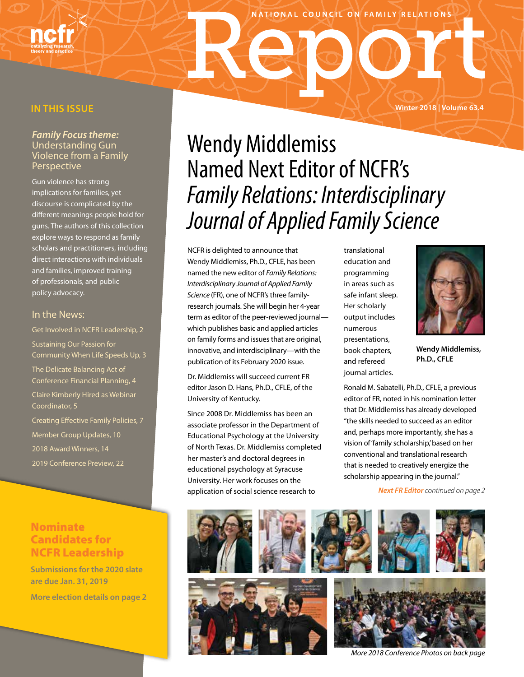### **IN THIS ISSUE**

### *Family Focus theme:*  Understanding Gun Violence from a Family **Perspective**

Gun violence has strong implications for families, yet discourse is complicated by the different meanings people hold for guns. The authors of this collection explore ways to respond as family scholars and practitioners, including direct interactions with individuals and families, improved training of professionals, and public policy advocacy.

### In the News:

Get Involved in NCFR Leadership, 2 Sustaining Our Passion for Community When Life Speeds Up, 3 The Delicate Balancing Act of Conference Financial Planning, 4 Claire Kimberly Hired as Webinar Coordinator, 5 Creating Effective Family Policies, 7 Member Group Updates, 10 2018 Award Winners, 14

2019 Conference Preview, 22

### Nominate Candidates for NCFR Leadership

**Submissions for the 2020 slate are due Jan. 31, 2019**

**More election details on page 2**

# Wendy Middlemiss Named Next Editor of NCFR's *Family Relations: Interdisciplinary Journal of Applied Family Science*

NATIONAL COUNCIL ON FAMILY RELATIONS

NCFR is delighted to announce that Wendy Middlemiss, Ph.D., CFLE, has been named the new editor of *Family Relations: Interdisciplinary Journal of Applied Family Science* (FR), one of NCFR's three familyresearch journals. She will begin her 4-year term as editor of the peer-reviewed journal which publishes basic and applied articles on family forms and issues that are original, innovative, and interdisciplinary—with the publication of its February 2020 issue.

Dr. Middlemiss will succeed current FR editor Jason D. Hans, Ph.D., CFLE, of the University of Kentucky.

Since 2008 Dr. Middlemiss has been an associate professor in the Department of Educational Psychology at the University of North Texas. Dr. Middlemiss completed her master's and doctoral degrees in educational psychology at Syracuse University. Her work focuses on the application of social science research to

translational education and programming in areas such as safe infant sleep. Her scholarly output includes numerous presentations, book chapters, and refereed journal articles.

**Wendy Middlemiss, Ph.D., CFLE**

Ronald M. Sabatelli, Ph.D., CFLE, a previous editor of FR, noted in his nomination letter that Dr. Middlemiss has already developed "the skills needed to succeed as an editor and, perhaps more importantly, she has a vision of 'family scholarship,' based on her conventional and translational research that is needed to creatively energize the scholarship appearing in the journal."

*Next FR Editor continued on page 2*



*More 2018 Conference Photos on back page*



## **Winter 2018 | Volume 63.4**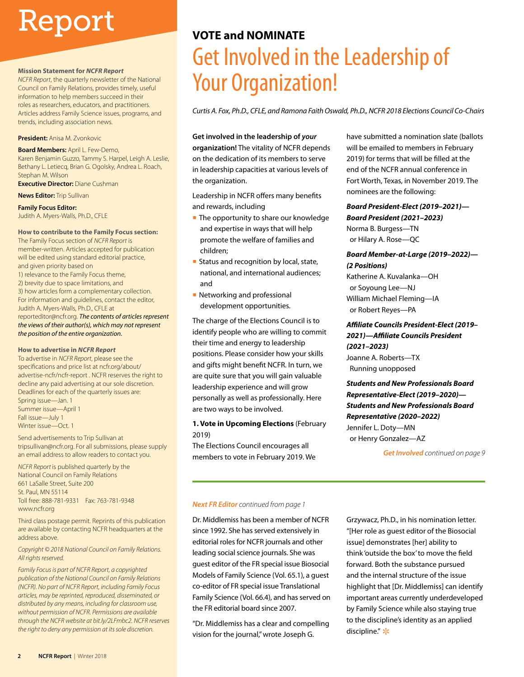# Report

#### **Mission Statement for** *NCFR Report*

*NCFR Report*, the quarterly newsletter of the National Council on Family Relations, provides timely, useful information to help members succeed in their roles as researchers, educators, and practitioners. Articles address Family Science issues, programs, and trends, including association news.

#### **President:** Anisa M. Zvonkovic

**Board Members:** April L. Few-Demo, Karen Benjamin Guzzo, Tammy S. Harpel, Leigh A. Leslie, Bethany L. Letiecq, Brian G. Ogolsky, Andrea L. Roach, Stephan M. Wilson

**Executive Director:** Diane Cushman

#### **News Editor:** Trip Sullivan

**Family Focus Editor:** 

Judith A. Myers-Walls, Ph.D., CFLE

#### **How to contribute to the Family Focus section:**

The Family Focus section of *NCFR Report* is member-written. Articles accepted for publication will be edited using standard editorial practice, and given priority based on 1) relevance to the Family Focus theme, 2) brevity due to space limitations, and 3) how articles form a complementary collection. For information and guidelines, contact the editor, Judith A. Myers-Walls, Ph.D., CFLE at reporteditor@ncfr.org. *The contents of articles represent the views of their author(s), which may not represent the position of the entire organization.*

#### **How to advertise in** *NCFR Report*

To advertise in *NCFR Report*, please see the specifications and price list at ncfr.org/about/ advertise-ncfr/ncfr-report . NCFR reserves the right to decline any paid advertising at our sole discretion. Deadlines for each of the quarterly issues are: Spring issue—Jan. 1 Summer issue—April 1 Fall issue—July 1 Winter issue—Oct. 1

Send advertisements to Trip Sullivan at tripsullivan@ncfr.org. For all submissions, please supply an email address to allow readers to contact you.

*NCFR Report* is published quarterly by the National Council on Family Relations 661 LaSalle Street, Suite 200 St. Paul, MN 55114 Toll free: 888-781-9331 Fax: 763-781-9348 www.ncfr.org

Third class postage permit. Reprints of this publication are available by contacting NCFR headquarters at the address above.

#### *Copyright © 2018 National Council on Family Relations. All rights reserved.*

*Family Focus is part of NCFR Report, a copyrighted publication of the National Council on Family Relations (NCFR). No part of NCFR Report, including Family Focus articles, may be reprinted, reproduced, disseminated, or distributed by any means, including for classroom use, without permission of NCFR. Permissions are available through the NCFR website at bit.ly/2LFmbc2. NCFR reserves the right to deny any permission at its sole discretion.* 

### **VOTE and NOMINATE**

# Get Involved in the Leadership of Your Organization!

*Curtis A. Fox, Ph.D., CFLE, and Ramona Faith Oswald, Ph.D., NCFR 2018 Elections Council Co-Chairs*

### **Get involved in the leadership of** *your* **organization!** The vitality of NCFR depends on the dedication of its members to serve in leadership capacities at various levels of the organization.

Leadership in NCFR offers many benefits and rewards, including

- The opportunity to share our knowledge and expertise in ways that will help promote the welfare of families and children;
- Status and recognition by local, state, national, and international audiences; and
- Networking and professional development opportunities.

The charge of the Elections Council is to identify people who are willing to commit their time and energy to leadership positions. Please consider how your skills and gifts might benefit NCFR. In turn, we are quite sure that you will gain valuable leadership experience and will grow personally as well as professionally. Here are two ways to be involved.

### **1. Vote in Upcoming Elections** (February 2019)

The Elections Council encourages all members to vote in February 2019. We

### have submitted a nomination slate (ballots will be emailed to members in February 2019) for terms that will be filled at the end of the NCFR annual conference in Fort Worth, Texas, in November 2019. The nominees are the following:

### *Board President-Elect (2019–2021)—*

*Board President (2021–2023)* Norma B. Burgess—TN or Hilary A. Rose—QC

### *Board Member-at-Large (2019–2022)— (2 Positions)*

Katherine A. Kuvalanka—OH or Soyoung Lee—NJ William Michael Fleming—IA or Robert Reyes—PA

### *Affiliate Councils President-Elect (2019– 2021)—Affiliate Councils President (2021–2023)*

Joanne A. Roberts—TX Running unopposed

### *Students and New Professionals Board Representative-Elect (2019–2020)— Students and New Professionals Board Representative (2020–2022)* Jennifer L. Doty—MN or Henry Gonzalez—AZ

*Get Involved continued on page 9*

### *Next FR Editor continued from page 1*

Dr. Middlemiss has been a member of NCFR since 1992. She has served extensively in editorial roles for NCFR journals and other leading social science journals. She was guest editor of the FR special issue Biosocial Models of Family Science (Vol. 65.1), a guest co-editor of FR special issue Translational Family Science (Vol. 66.4), and has served on the FR editorial board since 2007.

"Dr. Middlemiss has a clear and compelling vision for the journal," wrote Joseph G.

Grzywacz, Ph.D., in his nomination letter. "[Her role as guest editor of the Biosocial issue] demonstrates [her] ability to think 'outside the box' to move the field forward. Both the substance pursued and the internal structure of the issue highlight that [Dr. Middlemiss] can identify important areas currently underdeveloped by Family Science while also staying true to the discipline's identity as an applied discipline." $*$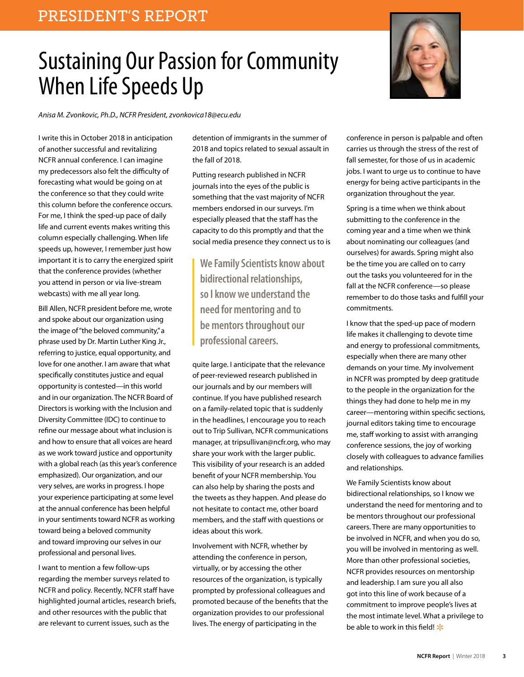# Sustaining Our Passion for Community When Life Speeds Up



*Anisa M. Zvonkovic, Ph.D., NCFR President, zvonkovica18@ecu.edu*

I write this in October 2018 in anticipation of another successful and revitalizing NCFR annual conference. I can imagine my predecessors also felt the difficulty of forecasting what would be going on at the conference so that they could write this column before the conference occurs. For me, I think the sped-up pace of daily life and current events makes writing this column especially challenging. When life speeds up, however, I remember just how important it is to carry the energized spirit that the conference provides (whether you attend in person or via live-stream webcasts) with me all year long.

Bill Allen, NCFR president before me, wrote and spoke about our organization using the image of "the beloved community," a phrase used by Dr. Martin Luther King Jr., referring to justice, equal opportunity, and love for one another. I am aware that what specifically constitutes justice and equal opportunity is contested—in this world and in our organization. The NCFR Board of Directors is working with the Inclusion and Diversity Committee (IDC) to continue to refine our message about what inclusion is and how to ensure that all voices are heard as we work toward justice and opportunity with a global reach (as this year's conference emphasized). Our organization, and our very selves, are works in progress. I hope your experience participating at some level at the annual conference has been helpful in your sentiments toward NCFR as working toward being a beloved community and toward improving our selves in our professional and personal lives.

I want to mention a few follow-ups regarding the member surveys related to NCFR and policy. Recently, NCFR staff have highlighted journal articles, research briefs, and other resources with the public that are relevant to current issues, such as the

detention of immigrants in the summer of 2018 and topics related to sexual assault in the fall of 2018.

Putting research published in NCFR journals into the eyes of the public is something that the vast majority of NCFR members endorsed in our surveys. I'm especially pleased that the staff has the capacity to do this promptly and that the social media presence they connect us to is

**We Family Scientists know about bidirectional relationships, so I know we understand the need for mentoring and to be mentors throughout our professional careers.**

quite large. I anticipate that the relevance of peer-reviewed research published in our journals and by our members will continue. If you have published research on a family-related topic that is suddenly in the headlines, I encourage you to reach out to Trip Sullivan, NCFR communications manager, at tripsullivan@ncfr.org, who may share your work with the larger public. This visibility of your research is an added benefit of your NCFR membership. You can also help by sharing the posts and the tweets as they happen. And please do not hesitate to contact me, other board members, and the staff with questions or ideas about this work.

Involvement with NCFR, whether by attending the conference in person, virtually, or by accessing the other resources of the organization, is typically prompted by professional colleagues and promoted because of the benefits that the organization provides to our professional lives. The energy of participating in the

conference in person is palpable and often carries us through the stress of the rest of fall semester, for those of us in academic jobs. I want to urge us to continue to have energy for being active participants in the organization throughout the year.

Spring is a time when we think about submitting to the conference in the coming year and a time when we think about nominating our colleagues (and ourselves) for awards. Spring might also be the time you are called on to carry out the tasks you volunteered for in the fall at the NCFR conference—so please remember to do those tasks and fulfill your commitments.

I know that the sped-up pace of modern life makes it challenging to devote time and energy to professional commitments, especially when there are many other demands on your time. My involvement in NCFR was prompted by deep gratitude to the people in the organization for the things they had done to help me in my career—mentoring within specific sections, journal editors taking time to encourage me, staff working to assist with arranging conference sessions, the joy of working closely with colleagues to advance families and relationships.

We Family Scientists know about bidirectional relationships, so I know we understand the need for mentoring and to be mentors throughout our professional careers. There are many opportunities to be involved in NCFR, and when you do so, you will be involved in mentoring as well. More than other professional societies, NCFR provides resources on mentorship and leadership. I am sure you all also got into this line of work because of a commitment to improve people's lives at the most intimate level. What a privilege to be able to work in this field!  $*$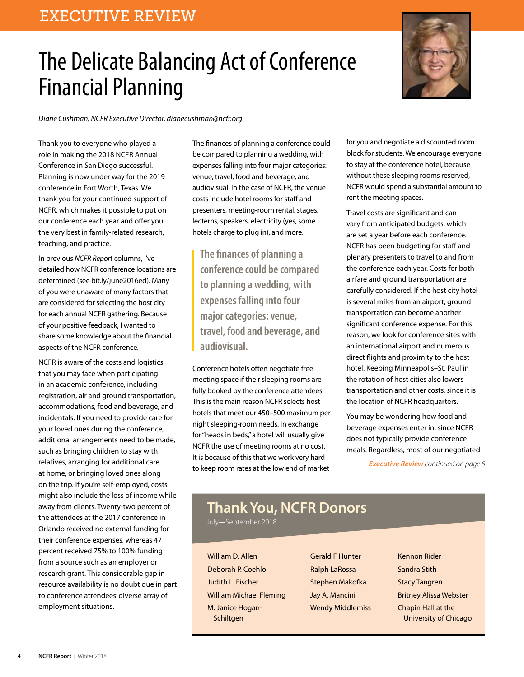# The Delicate Balancing Act of Conference Financial Planning

*Diane Cushman, NCFR Executive Director, dianecushman@ncfr.org*

Thank you to everyone who played a role in making the 2018 NCFR Annual Conference in San Diego successful. Planning is now under way for the 2019 conference in Fort Worth, Texas. We thank you for your continued support of NCFR, which makes it possible to put on our conference each year and offer you the very best in family-related research, teaching, and practice.

In previous *NCFR Repor*t columns, I've detailed how NCFR conference locations are determined (see bit.ly/june2016ed). Many of you were unaware of many factors that are considered for selecting the host city for each annual NCFR gathering. Because of your positive feedback, I wanted to share some knowledge about the financial aspects of the NCFR conference.

NCFR is aware of the costs and logistics that you may face when participating in an academic conference, including registration, air and ground transportation, accommodations, food and beverage, and incidentals. If you need to provide care for your loved ones during the conference, additional arrangements need to be made, such as bringing children to stay with relatives, arranging for additional care at home, or bringing loved ones along on the trip. If you're self-employed, costs might also include the loss of income while away from clients. Twenty-two percent of the attendees at the 2017 conference in Orlando received no external funding for their conference expenses, whereas 47 percent received 75% to 100% funding from a source such as an employer or research grant. This considerable gap in resource availability is no doubt due in part to conference attendees' diverse array of employment situations.

The finances of planning a conference could be compared to planning a wedding, with expenses falling into four major categories: venue, travel, food and beverage, and audiovisual. In the case of NCFR, the venue costs include hotel rooms for staff and presenters, meeting-room rental, stages, lecterns, speakers, electricity (yes, some hotels charge to plug in), and more.

**The finances of planning a conference could be compared to planning a wedding, with expenses falling into four major categories: venue, travel, food and beverage, and audiovisual.**

Conference hotels often negotiate free meeting space if their sleeping rooms are fully booked by the conference attendees. This is the main reason NCFR selects host hotels that meet our 450–500 maximum per night sleeping-room needs. In exchange for "heads in beds," a hotel will usually give NCFR the use of meeting rooms at no cost. It is because of this that we work very hard to keep room rates at the low end of market

for you and negotiate a discounted room block for students. We encourage everyone to stay at the conference hotel, because without these sleeping rooms reserved, NCFR would spend a substantial amount to rent the meeting spaces.

Travel costs are significant and can vary from anticipated budgets, which are set a year before each conference. NCFR has been budgeting for staff and plenary presenters to travel to and from the conference each year. Costs for both airfare and ground transportation are carefully considered. If the host city hotel is several miles from an airport, ground transportation can become another significant conference expense. For this reason, we look for conference sites with an international airport and numerous direct flights and proximity to the host hotel. Keeping Minneapolis–St. Paul in the rotation of host cities also lowers transportation and other costs, since it is the location of NCFR headquarters.

You may be wondering how food and beverage expenses enter in, since NCFR does not typically provide conference meals. Regardless, most of our negotiated

*Executive Review continued on page 6*

## **Thank You, NCFR Donors**

July—September 2018

William D. Allen Deborah P. Coehlo Judith L. Fischer William Michael Fleming M. Janice Hogan-**Schiltgen** 

Gerald F Hunter Ralph LaRossa Stephen Makofka Jay A. Mancini Wendy Middlemiss

Kennon Rider Sandra Stith Stacy Tangren Britney Alissa Webster Chapin Hall at the University of Chicago

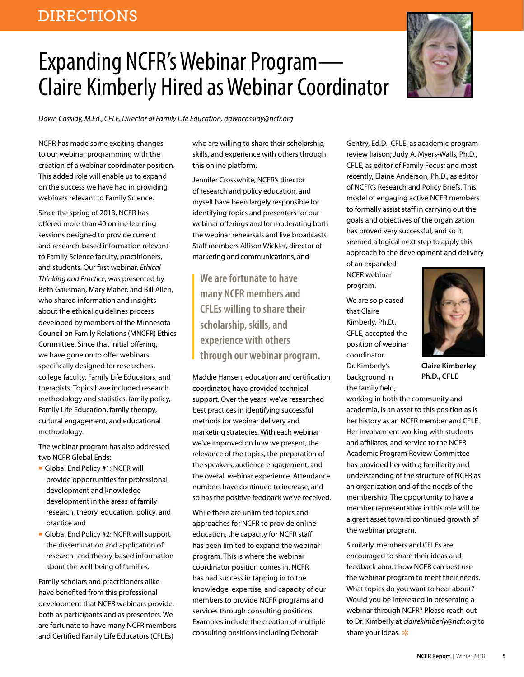# Expanding NCFR's Webinar Program— Claire Kimberly Hired as Webinar Coordinator

*Dawn Cassidy, M.Ed., CFLE, Director of Family Life Education, dawncassidy@ncfr.org*

NCFR has made some exciting changes to our webinar programming with the creation of a webinar coordinator position. This added role will enable us to expand on the success we have had in providing webinars relevant to Family Science.

Since the spring of 2013, NCFR has offered more than 40 online learning sessions designed to provide current and research-based information relevant to Family Science faculty, practitioners, and students. Our first webinar, *Ethical Thinking and Practice*, was presented by Beth Gausman, Mary Maher, and Bill Allen, who shared information and insights about the ethical guidelines process developed by members of the Minnesota Council on Family Relations (MNCFR) Ethics Committee. Since that initial offering, we have gone on to offer webinars specifically designed for researchers, college faculty, Family Life Educators, and therapists. Topics have included research methodology and statistics, family policy, Family Life Education, family therapy, cultural engagement, and educational methodology.

The webinar program has also addressed two NCFR Global Ends:

- Global End Policy #1: NCFR will provide opportunities for professional development and knowledge development in the areas of family research, theory, education, policy, and practice and
- Global End Policy #2: NCFR will support the dissemination and application of research- and theory-based information about the well-being of families.

Family scholars and practitioners alike have benefited from this professional development that NCFR webinars provide, both as participants and as presenters. We are fortunate to have many NCFR members and Certified Family Life Educators (CFLEs)

who are willing to share their scholarship, skills, and experience with others through this online platform.

Jennifer Crosswhite, NCFR's director of research and policy education, and myself have been largely responsible for identifying topics and presenters for our webinar offerings and for moderating both the webinar rehearsals and live broadcasts. Staff members Allison Wickler, director of marketing and communications, and

**We are fortunate to have many NCFR members and CFLEs willing to share their scholarship, skills, and experience with others through our webinar program.**

Maddie Hansen, education and certification coordinator, have provided technical support. Over the years, we've researched best practices in identifying successful methods for webinar delivery and marketing strategies. With each webinar we've improved on how we present, the relevance of the topics, the preparation of the speakers, audience engagement, and the overall webinar experience. Attendance numbers have continued to increase, and so has the positive feedback we've received.

While there are unlimited topics and approaches for NCFR to provide online education, the capacity for NCFR staff has been limited to expand the webinar program. This is where the webinar coordinator position comes in. NCFR has had success in tapping in to the knowledge, expertise, and capacity of our members to provide NCFR programs and services through consulting positions. Examples include the creation of multiple consulting positions including Deborah

Gentry, Ed.D., CFLE, as academic program review liaison; Judy A. Myers-Walls, Ph.D., CFLE, as editor of Family Focus; and most recently, Elaine Anderson, Ph.D., as editor of NCFR's Research and Policy Briefs. This model of engaging active NCFR members to formally assist staff in carrying out the goals and objectives of the organization has proved very successful, and so it seemed a logical next step to apply this approach to the development and delivery

of an expanded NCFR webinar program.

We are so pleased that Claire Kimberly, Ph.D., CFLE, accepted the position of webinar coordinator. Dr. Kimberly's background in the family field,

**Claire Kimberley Ph.D., CFLE**

working in both the community and academia, is an asset to this position as is her history as an NCFR member and CFLE. Her involvement working with students and affiliates, and service to the NCFR Academic Program Review Committee has provided her with a familiarity and understanding of the structure of NCFR as an organization and of the needs of the membership. The opportunity to have a member representative in this role will be a great asset toward continued growth of the webinar program.

Similarly, members and CFLEs are encouraged to share their ideas and feedback about how NCFR can best use the webinar program to meet their needs. What topics do you want to hear about? Would you be interested in presenting a webinar through NCFR? Please reach out to Dr. Kimberly at *clairekimberly@ncfr.org* to share your ideas.  $*$ 



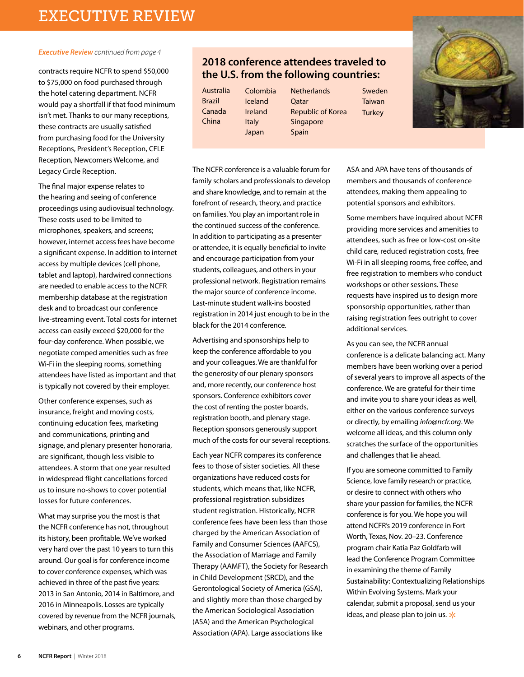#### *Executive Review continued from page 4*

contracts require NCFR to spend \$50,000 to \$75,000 on food purchased through the hotel catering department. NCFR would pay a shortfall if that food minimum isn't met. Thanks to our many receptions, these contracts are usually satisfied from purchasing food for the University Receptions, President's Reception, CFLE Reception, Newcomers Welcome, and Legacy Circle Reception.

The final major expense relates to the hearing and seeing of conference proceedings using audiovisual technology. These costs used to be limited to microphones, speakers, and screens; however, internet access fees have become a significant expense. In addition to internet access by multiple devices (cell phone, tablet and laptop), hardwired connections are needed to enable access to the NCFR membership database at the registration desk and to broadcast our conference live-streaming event. Total costs for internet access can easily exceed \$20,000 for the four-day conference. When possible, we negotiate comped amenities such as free Wi-Fi in the sleeping rooms, something attendees have listed as important and that is typically not covered by their employer.

Other conference expenses, such as insurance, freight and moving costs, continuing education fees, marketing and communications, printing and signage, and plenary presenter honoraria, are significant, though less visible to attendees. A storm that one year resulted in widespread flight cancellations forced us to insure no-shows to cover potential losses for future conferences.

What may surprise you the most is that the NCFR conference has not, throughout its history, been profitable. We've worked very hard over the past 10 years to turn this around. Our goal is for conference income to cover conference expenses, which was achieved in three of the past five years: 2013 in San Antonio, 2014 in Baltimore, and 2016 in Minneapolis. Losses are typically covered by revenue from the NCFR journals, webinars, and other programs.

### **2018 conference attendees traveled to the U.S. from the following countries:**

Australia Brazil Canada China

Colombia Iceland Ireland Italy Japan

**Netherlands O**atar Republic of Korea Singapore Spain

Sweden Taiwan **Turkey** 



The NCFR conference is a valuable forum for family scholars and professionals to develop and share knowledge, and to remain at the forefront of research, theory, and practice on families. You play an important role in the continued success of the conference. In addition to participating as a presenter or attendee, it is equally beneficial to invite and encourage participation from your students, colleagues, and others in your professional network. Registration remains the major source of conference income. Last-minute student walk-ins boosted registration in 2014 just enough to be in the black for the 2014 conference.

Advertising and sponsorships help to keep the conference affordable to you and your colleagues. We are thankful for the generosity of our plenary sponsors and, more recently, our conference host sponsors. Conference exhibitors cover the cost of renting the poster boards, registration booth, and plenary stage. Reception sponsors generously support much of the costs for our several receptions.

Each year NCFR compares its conference fees to those of sister societies. All these organizations have reduced costs for students, which means that, like NCFR, professional registration subsidizes student registration. Historically, NCFR conference fees have been less than those charged by the American Association of Family and Consumer Sciences (AAFCS), the Association of Marriage and Family Therapy (AAMFT), the Society for Research in Child Development (SRCD), and the Gerontological Society of America (GSA), and slightly more than those charged by the American Sociological Association (ASA) and the American Psychological Association (APA). Large associations like

ASA and APA have tens of thousands of members and thousands of conference attendees, making them appealing to potential sponsors and exhibitors.

Some members have inquired about NCFR providing more services and amenities to attendees, such as free or low-cost on-site child care, reduced registration costs, free Wi-Fi in all sleeping rooms, free coffee, and free registration to members who conduct workshops or other sessions. These requests have inspired us to design more sponsorship opportunities, rather than raising registration fees outright to cover additional services.

As you can see, the NCFR annual conference is a delicate balancing act. Many members have been working over a period of several years to improve all aspects of the conference. We are grateful for their time and invite you to share your ideas as well, either on the various conference surveys or directly, by emailing *info@ncfr.org*. We welcome all ideas, and this column only scratches the surface of the opportunities and challenges that lie ahead.

If you are someone committed to Family Science, love family research or practice, or desire to connect with others who share your passion for families, the NCFR conference is for you. We hope you will attend NCFR's 2019 conference in Fort Worth, Texas, Nov. 20–23. Conference program chair Katia Paz Goldfarb will lead the Conference Program Committee in examining the theme of Family Sustainability: Contextualizing Relationships Within Evolving Systems. Mark your calendar, submit a proposal, send us your ideas, and please plan to join us.  $*$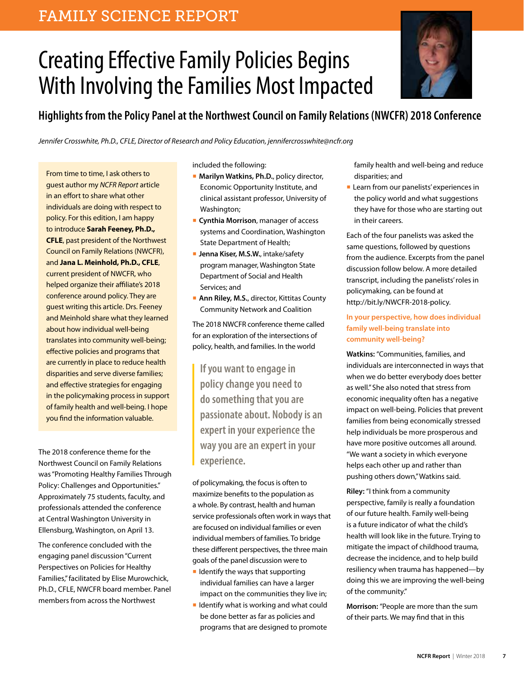### FAMILY SCIENCE REPORT

# Creating Effective Family Policies Begins With Involving the Families Most Impacted



### **Highlights from the Policy Panel at the Northwest Council on Family Relations (NWCFR) 2018 Conference**

*Jennifer Crosswhite, Ph.D., CFLE, Director of Research and Policy Education, jennifercrosswhite@ncfr.org*

From time to time, I ask others to guest author my *NCFR Report* article in an effort to share what other individuals are doing with respect to policy. For this edition, I am happy to introduce **Sarah Feeney, Ph.D., CFLE**, past president of the Northwest Council on Family Relations (NWCFR), and **Jana L. Meinhold, Ph.D., CFLE**, current president of NWCFR, who helped organize their affiliate's 2018 conference around policy. They are guest writing this article. Drs. Feeney and Meinhold share what they learned about how individual well-being translates into community well-being; effective policies and programs that are currently in place to reduce health disparities and serve diverse families; and effective strategies for engaging in the policymaking process in support of family health and well-being. I hope you find the information valuable.

The 2018 conference theme for the Northwest Council on Family Relations was "Promoting Healthy Families Through Policy: Challenges and Opportunities." Approximately 75 students, faculty, and professionals attended the conference at Central Washington University in Ellensburg, Washington, on April 13.

The conference concluded with the engaging panel discussion "Current Perspectives on Policies for Healthy Families," facilitated by Elise Murowchick, Ph.D., CFLE, NWCFR board member. Panel members from across the Northwest

included the following:

- **Marilyn Watkins, Ph.D.**, policy director, Economic Opportunity Institute, and clinical assistant professor, University of Washington;
- **Cynthia Morrison**, manager of access systems and Coordination, Washington State Department of Health;
- **Jenna Kiser, M.S.W.**, intake/safety program manager, Washington State Department of Social and Health Services; and
- **Ann Riley, M.S.**, director, Kittitas County Community Network and Coalition

The 2018 NWCFR conference theme called for an exploration of the intersections of policy, health, and families. In the world

**If you want to engage in policy change you need to do something that you are passionate about. Nobody is an expert in your experience the way you are an expert in your experience.**

of policymaking, the focus is often to maximize benefits to the population as a whole. By contrast, health and human service professionals often work in ways that are focused on individual families or even individual members of families. To bridge these different perspectives, the three main goals of the panel discussion were to

- Identify the ways that supporting individual families can have a larger impact on the communities they live in;
- Identify what is working and what could be done better as far as policies and programs that are designed to promote

family health and well-being and reduce disparities; and

■ Learn from our panelists' experiences in the policy world and what suggestions they have for those who are starting out in their careers.

Each of the four panelists was asked the same questions, followed by questions from the audience. Excerpts from the panel discussion follow below. A more detailed transcript, including the panelists' roles in policymaking, can be found at http://bit.ly/NWCFR-2018-policy.

### **In your perspective, how does individual family well-being translate into community well-being?**

**Watkins:** "Communities, families, and individuals are interconnected in ways that when we do better everybody does better as well." She also noted that stress from economic inequality often has a negative impact on well-being. Policies that prevent families from being economically stressed help individuals be more prosperous and have more positive outcomes all around. "We want a society in which everyone helps each other up and rather than pushing others down," Watkins said.

**Riley:** "I think from a community perspective, family is really a foundation of our future health. Family well-being is a future indicator of what the child's health will look like in the future. Trying to mitigate the impact of childhood trauma, decrease the incidence, and to help build resiliency when trauma has happened—by doing this we are improving the well-being of the community."

**Morrison:** "People are more than the sum of their parts. We may find that in this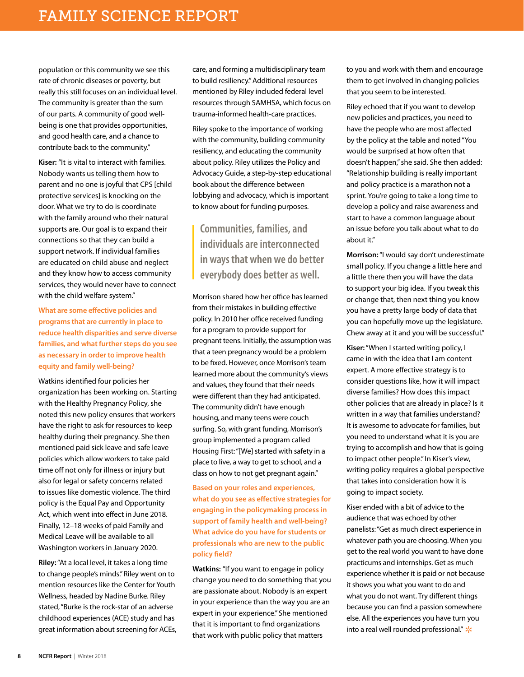population or this community we see this rate of chronic diseases or poverty, but really this still focuses on an individual level. The community is greater than the sum of our parts. A community of good wellbeing is one that provides opportunities, and good health care, and a chance to contribute back to the community."

**Kiser:** "It is vital to interact with families. Nobody wants us telling them how to parent and no one is joyful that CPS [child protective services] is knocking on the door. What we try to do is coordinate with the family around who their natural supports are. Our goal is to expand their connections so that they can build a support network. If individual families are educated on child abuse and neglect and they know how to access community services, they would never have to connect with the child welfare system."

**What are some effective policies and programs that are currently in place to reduce health disparities and serve diverse families, and what further steps do you see as necessary in order to improve health equity and family well-being?** 

Watkins identified four policies her organization has been working on. Starting with the Healthy Pregnancy Policy, she noted this new policy ensures that workers have the right to ask for resources to keep healthy during their pregnancy. She then mentioned paid sick leave and safe leave policies which allow workers to take paid time off not only for illness or injury but also for legal or safety concerns related to issues like domestic violence. The third policy is the Equal Pay and Opportunity Act, which went into effect in June 2018. Finally, 12–18 weeks of paid Family and Medical Leave will be available to all Washington workers in January 2020.

**Riley:** "At a local level, it takes a long time to change people's minds." Riley went on to mention resources like the Center for Youth Wellness, headed by Nadine Burke. Riley stated, "Burke is the rock-star of an adverse childhood experiences (ACE) study and has great information about screening for ACEs, care, and forming a multidisciplinary team to build resiliency." Additional resources mentioned by Riley included federal level resources through SAMHSA, which focus on trauma-informed health-care practices.

Riley spoke to the importance of working with the community, building community resiliency, and educating the community about policy. Riley utilizes the Policy and Advocacy Guide, a step-by-step educational book about the difference between lobbying and advocacy, which is important to know about for funding purposes.

**Communities, families, and individuals are interconnected in ways that when we do better everybody does better as well.**

Morrison shared how her office has learned from their mistakes in building effective policy. In 2010 her office received funding for a program to provide support for pregnant teens. Initially, the assumption was that a teen pregnancy would be a problem to be fixed. However, once Morrison's team learned more about the community's views and values, they found that their needs were different than they had anticipated. The community didn't have enough housing, and many teens were couch surfing. So, with grant funding, Morrison's group implemented a program called Housing First: "[We] started with safety in a place to live, a way to get to school, and a class on how to not get pregnant again."

**Based on your roles and experiences, what do you see as effective strategies for engaging in the policymaking process in support of family health and well-being? What advice do you have for students or professionals who are new to the public policy field?**

**Watkins:** "If you want to engage in policy change you need to do something that you are passionate about. Nobody is an expert in your experience than the way you are an expert in your experience." She mentioned that it is important to find organizations that work with public policy that matters

to you and work with them and encourage them to get involved in changing policies that you seem to be interested.

Riley echoed that if you want to develop new policies and practices, you need to have the people who are most affected by the policy at the table and noted "You would be surprised at how often that doesn't happen," she said. She then added: "Relationship building is really important and policy practice is a marathon not a sprint. You're going to take a long time to develop a policy and raise awareness and start to have a common language about an issue before you talk about what to do about it."

**Morrison:** "I would say don't underestimate small policy. If you change a little here and a little there then you will have the data to support your big idea. If you tweak this or change that, then next thing you know you have a pretty large body of data that you can hopefully move up the legislature. Chew away at it and you will be successful."

**Kiser:** "When I started writing policy, I came in with the idea that I am content expert. A more effective strategy is to consider questions like, how it will impact diverse families? How does this impact other policies that are already in place? Is it written in a way that families understand? It is awesome to advocate for families, but you need to understand what it is you are trying to accomplish and how that is going to impact other people." In Kiser's view, writing policy requires a global perspective that takes into consideration how it is going to impact society.

Kiser ended with a bit of advice to the audience that was echoed by other panelists: "Get as much direct experience in whatever path you are choosing. When you get to the real world you want to have done practicums and internships. Get as much experience whether it is paid or not because it shows you what you want to do and what you do not want. Try different things because you can find a passion somewhere else. All the experiences you have turn you into a real well rounded professional."  $*$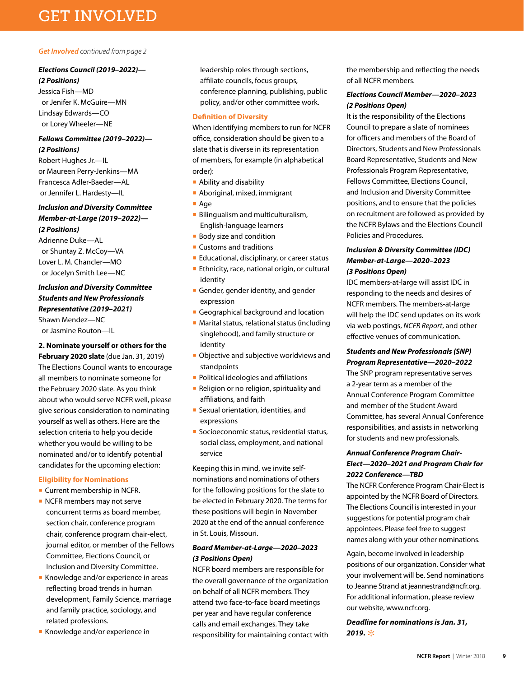## GET INVOLVED

### *Get Involved continued from page 2*

### *Elections Council (2019–2022)—*

*(2 Positions)* Jessica Fish—MD or Jenifer K. McGuire—MN Lindsay Edwards—CO or Lorey Wheeler—NE

### *Fellows Committee (2019–2022)— (2 Positions)*

Robert Hughes Jr.—IL or Maureen Perry-Jenkins—MA Francesca Adler-Baeder—AL or Jennifer L. Hardesty—IL

### *Inclusion and Diversity Committee Member-at-Large (2019–2022)—*

*(2 Positions)*

Adrienne Duke—AL or Shuntay Z. McCoy—VA Lover L. M. Chancler—MO or Jocelyn Smith Lee—NC

### *Inclusion and Diversity Committee Students and New Professionals Representative (2019–2021)* Shawn Mendez—NC

or Jasmine Routon—IL

### **2. Nominate yourself or others for the**

**February 2020 slate** (due Jan. 31, 2019) The Elections Council wants to encourage all members to nominate someone for the February 2020 slate. As you think about who would serve NCFR well, please give serious consideration to nominating yourself as well as others. Here are the selection criteria to help you decide whether you would be willing to be nominated and/or to identify potential candidates for the upcoming election:

### **Eligibility for Nominations**

- Current membership in NCFR.
- NCFR members may not serve concurrent terms as board member, section chair, conference program chair, conference program chair-elect, journal editor, or member of the Fellows Committee, Elections Council, or Inclusion and Diversity Committee.
- Knowledge and/or experience in areas reflecting broad trends in human development, Family Science, marriage and family practice, sociology, and related professions.
- Knowledge and/or experience in

leadership roles through sections, affiliate councils, focus groups, conference planning, publishing, public policy, and/or other committee work.

### **Definition of Diversity**

When identifying members to run for NCFR office, consideration should be given to a slate that is diverse in its representation of members, for example (in alphabetical order):

- Ability and disability
- Aboriginal, mixed, immigrant
- Age
- Bilingualism and multiculturalism, English-language learners
- Body size and condition
- Customs and traditions
- Educational, disciplinary, or career status
- Ethnicity, race, national origin, or cultural identity
- Gender, gender identity, and gender expression
- Geographical background and location
- Marital status, relational status (including singlehood), and family structure or identity
- Objective and subjective worldviews and standpoints
- Political ideologies and affiliations
- Religion or no religion, spirituality and affiliations, and faith
- Sexual orientation, identities, and expressions
- Socioeconomic status, residential status, social class, employment, and national service

Keeping this in mind, we invite selfnominations and nominations of others for the following positions for the slate to be elected in February 2020. The terms for these positions will begin in November 2020 at the end of the annual conference in St. Louis, Missouri.

### *Board Member-at-Large—2020–2023 (3 Positions Open)*

NCFR board members are responsible for the overall governance of the organization on behalf of all NCFR members. They attend two face-to-face board meetings per year and have regular conference calls and email exchanges. They take responsibility for maintaining contact with

the membership and reflecting the needs of all NCFR members.

### *Elections Council Member—2020–2023 (2 Positions Open)*

It is the responsibility of the Elections Council to prepare a slate of nominees for officers and members of the Board of Directors, Students and New Professionals Board Representative, Students and New Professionals Program Representative, Fellows Committee, Elections Council, and Inclusion and Diversity Committee positions, and to ensure that the policies on recruitment are followed as provided by the NCFR Bylaws and the Elections Council Policies and Procedures.

### *Inclusion & Diversity Committee (IDC) Member-at-Large—2020–2023 (3 Positions Open)*

IDC members-at-large will assist IDC in responding to the needs and desires of NCFR members. The members-at-large will help the IDC send updates on its work via web postings, *NCFR Report*, and other effective venues of communication.

### *Students and New Professionals (SNP) Program Representative—2020–2022*

The SNP program representative serves a 2-year term as a member of the Annual Conference Program Committee and member of the Student Award Committee, has several Annual Conference responsibilities, and assists in networking for students and new professionals.

### *Annual Conference Program Chair-Elect—2020–2021 and Program Chair for 2022 Conference—TBD*

The NCFR Conference Program Chair-Elect is appointed by the NCFR Board of Directors. The Elections Council is interested in your suggestions for potential program chair appointees. Please feel free to suggest names along with your other nominations.

Again, become involved in leadership positions of our organization. Consider what your involvement will be. Send nominations to Jeanne Strand at jeannestrand@ncfr.org. For additional information, please review our website, www.ncfr.org.

*Deadline for nominations is Jan. 31,*  **2019. \***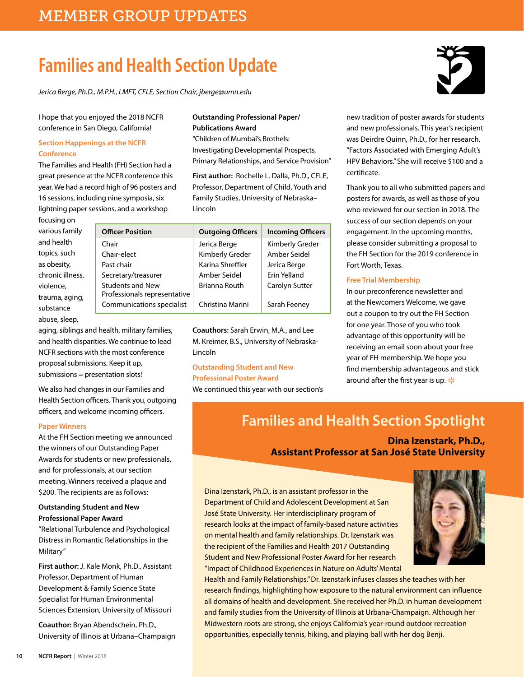# **Families and Health Section Update**

*Jerica Berge, Ph.D., M.P.H., LMFT, CFLE, Section Chair, jberge@umn.edu*

I hope that you enjoyed the 2018 NCFR conference in San Diego, California!

### **Section Happenings at the NCFR Conference**

The Families and Health (FH) Section had a great presence at the NCFR conference this year. We had a record high of 96 posters and 16 sessions, including nine symposia, six lightning paper sessions, and a workshop

### **Outstanding Professional Paper/ Publications Award**

"Children of Mumbai's Brothels: Investigating Developmental Prospects, Primary Relationships, and Service Provision"

**First author:** Rochelle L. Dalla, Ph.D., CFLE, Professor, Department of Child, Youth and Family Studies, University of Nebraska– Lincoln

| focusing on      |                              |                          |                          |
|------------------|------------------------------|--------------------------|--------------------------|
| various family   | <b>Officer Position</b>      | <b>Outgoing Officers</b> | <b>Incoming Officers</b> |
| and health       | Chair                        | Jerica Berge             | Kimberly Greder          |
| topics, such     | Chair-elect                  | Kimberly Greder          | Amber Seidel             |
| as obesity,      | Past chair                   | Karina Shreffler         | Jerica Berge             |
| chronic illness, | Secretary/treasurer          | Amber Seidel             | Erin Yelland             |
| violence,        | <b>Students and New</b>      | Brianna Routh            | Carolyn Sutter           |
| trauma, aging,   | Professionals representative |                          |                          |
| substance        | Communications specialist    | Christina Marini         | Sarah Feeney             |
| abuse, sleep,    |                              |                          |                          |

**Coauthors:** Sarah Erwin, M.A., and Lee M. Kreimer, B.S., University of Nebraska-Lincoln

### **Outstanding Student and New**

**Professional Poster Award**  We continued this year with our section's

new tradition of poster awards for students and new professionals. This year's recipient was Deirdre Quinn, Ph.D., for her research, "Factors Associated with Emerging Adult's HPV Behaviors." She will receive \$100 and a certificate.

Thank you to all who submitted papers and posters for awards, as well as those of you who reviewed for our section in 2018. The success of our section depends on your engagement. In the upcoming months, please consider submitting a proposal to the FH Section for the 2019 conference in Fort Worth, Texas.

### **Free Trial Membership**

In our preconference newsletter and at the Newcomers Welcome, we gave out a coupon to try out the FH Section for one year. Those of you who took advantage of this opportunity will be receiving an email soon about your free year of FH membership. We hope you find membership advantageous and stick around after the first year is up.  $*$ 

**Families and Health Section Spotlight**

**Dina Izenstark, Ph.D., Assistant Professor at San José State University**

Dina Izenstark, Ph.D., is an assistant professor in the Department of Child and Adolescent Development at San José State University. Her interdisciplinary program of research looks at the impact of family-based nature activities on mental health and family relationships. Dr. Izenstark was the recipient of the Families and Health 2017 Outstanding Student and New Professional Poster Award for her research "Impact of Childhood Experiences in Nature on Adults' Mental



Health and Family Relationships." Dr. Izenstark infuses classes she teaches with her research findings, highlighting how exposure to the natural environment can influence all domains of health and development. She received her Ph.D. in human development and family studies from the University of Illinois at Urbana-Champaign. Although her Midwestern roots are strong, she enjoys California's year-round outdoor recreation opportunities, especially tennis, hiking, and playing ball with her dog Benji.

### **Paper Winners**

At the FH Section meeting we announced the winners of our Outstanding Paper Awards for students or new professionals, and for professionals, at our section meeting. Winners received a plaque and \$200. The recipients are as follows:

aging, siblings and health, military families, and health disparities. We continue to lead NCFR sections with the most conference proposal submissions. Keep it up, submissions = presentation slots!

We also had changes in our Families and Health Section officers. Thank you, outgoing officers, and welcome incoming officers.

### **Outstanding Student and New Professional Paper Award**

"Relational Turbulence and Psychological Distress in Romantic Relationships in the Military"

**First author:** J. Kale Monk, Ph.D., Assistant Professor, Department of Human Development & Family Science State Specialist for Human Environmental Sciences Extension, University of Missouri

**Coauthor:** Bryan Abendschein, Ph.D., University of Illinois at Urbana–Champaign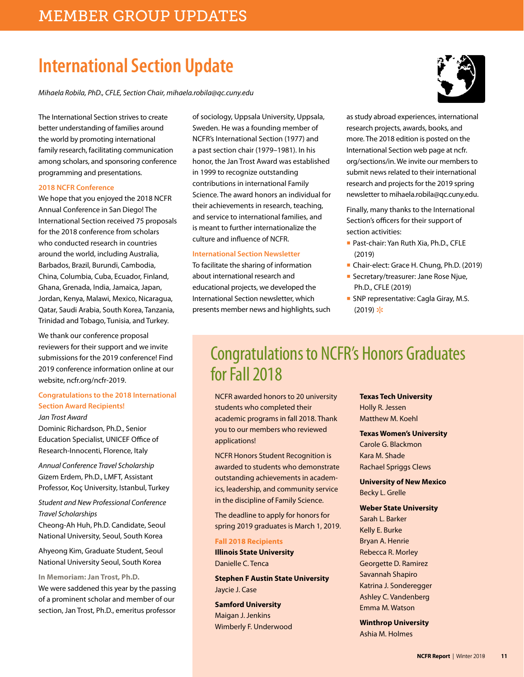# **International Section Update**

*Mihaela Robila, PhD., CFLE, Section Chair, mihaela.robila@qc.cuny.edu*

better understanding of families around the world by promoting international family research, facilitating communication among scholars, and sponsoring conference programming and presentations.

#### **2018 NCFR Conference**

The international section and the constrained between the constrained between the constrained between the constrained between the strives to create the constrained between the strives to create the constrained between the We hope that you enjoyed the 2018 NCFR Annual Conference in San Diego! The International Section received 75 proposals for the 2018 conference from scholars who conducted research in countries around the world, including Australia, Barbados, Brazil, Burundi, Cambodia, China, Columbia, Cuba, Ecuador, Finland, Ghana, Grenada, India, Jamaica, Japan, Jordan, Kenya, Malawi, Mexico, Nicaragua, Qatar, Saudi Arabia, South Korea, Tanzania, Trinidad and Tobago, Tunisia, and Turkey.

We thank our conference proposal reviewers for their support and we invite submissions for the 2019 conference! Find 2019 conference information online at our website, ncfr.org/ncfr-2019.

### **Congratulations to the 2018 International Section Award Recipients!**

*Jan Trost Award*  Dominic Richardson, Ph.D., Senior Education Specialist, UNICEF Office of

Research-Innocenti, Florence, Italy

*Annual Conference Travel Scholarship*  Gizem Erdem, Ph.D., LMFT, Assistant Professor, Koç University, Istanbul, Turkey

*Student and New Professional Conference Travel Scholarships*

Cheong-Ah Huh, Ph.D. Candidate, Seoul National University, Seoul, South Korea

Ahyeong Kim, Graduate Student, Seoul National University Seoul, South Korea

**In Memoriam: Jan Trost, Ph.D.** 

We were saddened this year by the passing of a prominent scholar and member of our section, Jan Trost, Ph.D., emeritus professor

of sociology, Uppsala University, Uppsala, Sweden. He was a founding member of NCFR's International Section (1977) and a past section chair (1979–1981). In his honor, the Jan Trost Award was established in 1999 to recognize outstanding contributions in international Family Science. The award honors an individual for their achievements in research, teaching, and service to international families, and is meant to further internationalize the culture and influence of NCFR.

### **International Section Newsletter**

To facilitate the sharing of information about international research and educational projects, we developed the International Section newsletter, which presents member news and highlights, such as study abroad experiences, international research projects, awards, books, and more. The 2018 edition is posted on the International Section web page at ncfr. org/sections/in. We invite our members to submit news related to their international research and projects for the 2019 spring newsletter to mihaela.robila@qc.cuny.edu.

Finally, many thanks to the International Section's officers for their support of section activities:

- Past-chair: Yan Ruth Xia, Ph.D., CFLE (2019)
- Chair-elect: Grace H. Chung, Ph.D. (2019)
- Secretary/treasurer: Jane Rose Njue, Ph.D., CFLE (2019)
- SNP representative: Cagla Giray, M.S.  $(2019)$  \*

## Congratulations to NCFR's Honors Graduates for Fall 2018

NCFR awarded honors to 20 university students who completed their academic programs in fall 2018. Thank you to our members who reviewed applications!

NCFR Honors Student Recognition is awarded to students who demonstrate outstanding achievements in academics, leadership, and community service in the discipline of Family Science.

The deadline to apply for honors for spring 2019 graduates is March 1, 2019.

### **Fall 2018 Recipients**

**Illinois State University**  Danielle C. Tenca

**Stephen F Austin State University** Jaycie J. Case

**Samford University**  Maigan J. Jenkins Wimberly F. Underwood **Texas Tech University** 

Holly R. Jessen Matthew M. Koehl

#### **Texas Women's University**

Carole G. Blackmon Kara M. Shade Rachael Spriggs Clews

**University of New Mexico** Becky L. Grelle

### **Weber State University**

Sarah L. Barker Kelly E. Burke Bryan A. Henrie Rebecca R. Morley Georgette D. Ramirez Savannah Shapiro Katrina J. Sonderegger Ashley C. Vandenberg Emma M. Watson

**Winthrop University**  Ashia M. Holmes

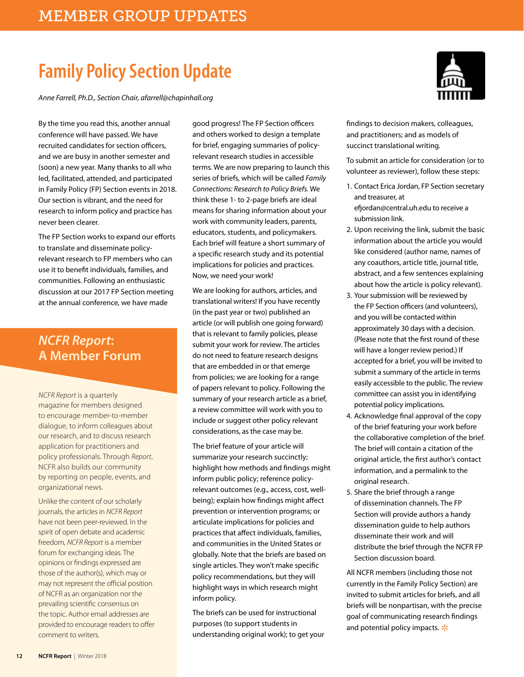# **Family Policy Section Update**

*Anne Farrell, Ph.D., Section Chair, afarrell@chapinhall.org*

By the time you read this, another annual conference will have passed. We have recruited candidates for section officers, and we are busy in another semester and (soon) a new year. Many thanks to all who led, facilitated, attended, and participated in Family Policy (FP) Section events in 2018. Our section is vibrant, and the need for research to inform policy and practice has never been clearer.

The FP Section works to expand our efforts to translate and disseminate policyrelevant research to FP members who can use it to benefit individuals, families, and communities. Following an enthusiastic discussion at our 2017 FP Section meeting at the annual conference, we have made

### *NCFR Report***: A Member Forum**

*NCFR Report* is a quarterly magazine for members designed to encourage member-to-member dialogue, to inform colleagues about our research, and to discuss research application for practitioners and policy professionals. Through *Report*, NCFR also builds our community by reporting on people, events, and organizational news.

Unlike the content of our scholarly journals, the articles in *NCFR Report*  have not been peer-reviewed. In the spirit of open debate and academic freedom, *NCFR Report* is a member forum for exchanging ideas. The opinions or findings expressed are those of the author(s), which may or may not represent the official position of NCFR as an organization nor the prevailing scientific consensus on the topic. Author email addresses are provided to encourage readers to offer comment to writers.

good progress! The FP Section officers and others worked to design a template for brief, engaging summaries of policyrelevant research studies in accessible terms. We are now preparing to launch this series of briefs, which will be called *Family Connections: Research to Policy Briefs.* We think these 1- to 2-page briefs are ideal means for sharing information about your work with community leaders, parents, educators, students, and policymakers. Each brief will feature a short summary of a specific research study and its potential implications for policies and practices. Now, we need your work!

We are looking for authors, articles, and translational writers! If you have recently (in the past year or two) published an article (or will publish one going forward) that is relevant to family policies, please submit your work for review. The articles do not need to feature research designs that are embedded in or that emerge from policies; we are looking for a range of papers relevant to policy. Following the summary of your research article as a brief, a review committee will work with you to include or suggest other policy relevant considerations, as the case may be.

The brief feature of your article will summarize your research succinctly; highlight how methods and findings might inform public policy; reference policyrelevant outcomes (e.g., access, cost, wellbeing); explain how findings might affect prevention or intervention programs; or articulate implications for policies and practices that affect individuals, families, and communities in the United States or globally. Note that the briefs are based on single articles. They won't make specific policy recommendations, but they will highlight ways in which research might inform policy.

The briefs can be used for instructional purposes (to support students in understanding original work); to get your



findings to decision makers, colleagues, and practitioners; and as models of succinct translational writing.

To submit an article for consideration (or to volunteer as reviewer), follow these steps:

- 1. Contact Erica Jordan, FP Section secretary and treasurer, at efjordan@central.uh.edu to receive a submission link.
- 2. Upon receiving the link, submit the basic information about the article you would like considered (author name, names of any coauthors, article title, journal title, abstract, and a few sentences explaining about how the article is policy relevant).
- 3. Your submission will be reviewed by the FP Section officers (and volunteers), and you will be contacted within approximately 30 days with a decision. (Please note that the first round of these will have a longer review period.) If accepted for a brief, you will be invited to submit a summary of the article in terms easily accessible to the public. The review committee can assist you in identifying potential policy implications.
- 4. Acknowledge final approval of the copy of the brief featuring your work before the collaborative completion of the brief. The brief will contain a citation of the original article, the first author's contact information, and a permalink to the original research.
- 5. Share the brief through a range of dissemination channels. The FP Section will provide authors a handy dissemination guide to help authors disseminate their work and will distribute the brief through the NCFR FP Section discussion board.

All NCFR members (including those not currently in the Family Policy Section) are invited to submit articles for briefs, and all briefs will be nonpartisan, with the precise goal of communicating research findings and potential policy impacts.  $*$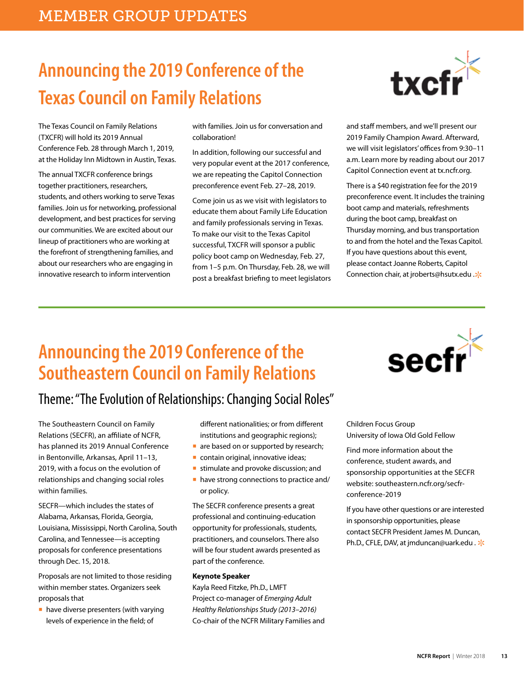# **Announcing the 2019 Conference of the Texas Council on Family Relations**

The Texas Council on Family Relations (TXCFR) will hold its 2019 Annual Conference Feb. 28 through March 1, 2019, at the Holiday Inn Midtown in Austin, Texas.

The annual TXCFR conference brings together practitioners, researchers, students, and others working to serve Texas families. Join us for networking, professional development, and best practices for serving our communities. We are excited about our lineup of practitioners who are working at the forefront of strengthening families, and about our researchers who are engaging in innovative research to inform intervention

with families. Join us for conversation and collaboration!

In addition, following our successful and very popular event at the 2017 conference, we are repeating the Capitol Connection preconference event Feb. 27–28, 2019.

Come join us as we visit with legislators to educate them about Family Life Education and family professionals serving in Texas. To make our visit to the Texas Capitol successful, TXCFR will sponsor a public policy boot camp on Wednesday, Feb. 27, from 1–5 p.m. On Thursday, Feb. 28, we will post a breakfast briefing to meet legislators



and staff members, and we'll present our 2019 Family Champion Award. Afterward, we will visit legislators' offices from 9:30–11 a.m. Learn more by reading about our 2017 Capitol Connection event at tx.ncfr.org.

There is a \$40 registration fee for the 2019 preconference event. It includes the training boot camp and materials, refreshments during the boot camp, breakfast on Thursday morning, and bus transportation to and from the hotel and the Texas Capitol. If you have questions about this event, please contact Joanne Roberts, Capitol Connection chair, at jroberts@hsutx.edu .0

# **Announcing the 2019 Conference of the Southeastern Council on Family Relations**



## Theme: "The Evolution of Relationships: Changing Social Roles"

The Southeastern Council on Family Relations (SECFR), an affiliate of NCFR, has planned its 2019 Annual Conference in Bentonville, Arkansas, April 11–13, 2019, with a focus on the evolution of relationships and changing social roles within families.

SECFR—which includes the states of Alabama, Arkansas, Florida, Georgia, Louisiana, Mississippi, North Carolina, South Carolina, and Tennessee—is accepting proposals for conference presentations through Dec. 15, 2018.

Proposals are not limited to those residing within member states. Organizers seek proposals that

■ have diverse presenters (with varying levels of experience in the field; of

different nationalities; or from different institutions and geographic regions);

- are based on or supported by research;
- contain original, innovative ideas;
- stimulate and provoke discussion; and
- have strong connections to practice and/ or policy.

The SECFR conference presents a great professional and continuing-education opportunity for professionals, students, practitioners, and counselors. There also will be four student awards presented as part of the conference.

### **Keynote Speaker**

Kayla Reed Fitzke, Ph.D., LMFT Project co-manager of *Emerging Adult Healthy Relationships Study (2013–2016)* Co-chair of the NCFR Military Families and Children Focus Group University of Iowa Old Gold Fellow

Find more information about the conference, student awards, and sponsorship opportunities at the SECFR website: southeastern.ncfr.org/secfrconference-2019

If you have other questions or are interested in sponsorship opportunities, please contact SECFR President James M. Duncan, Ph.D., CFLE, DAV, at jmduncan@uark.edu . \*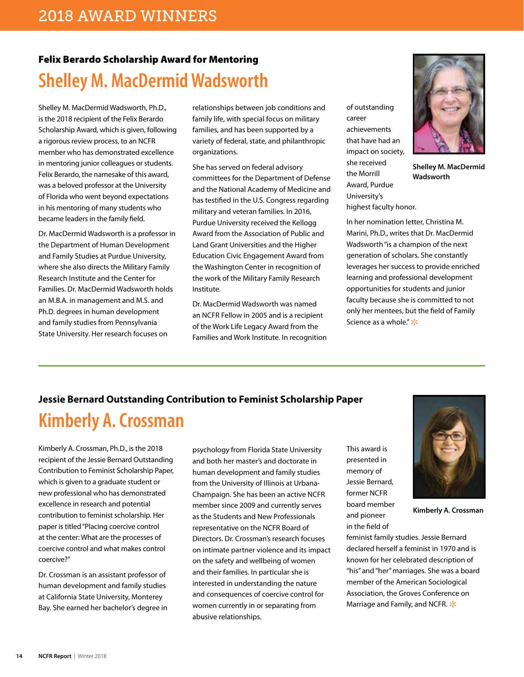## Felix Berardo Scholarship Award for Mentoring **Shelley M. MacDermid Wadsworth**

Shelley M. MacDermid Wadsworth, Ph.D., is the 2018 recipient of the Felix Berardo Scholarship Award, which is given, following a rigorous review process, to an NCFR member who has demonstrated excellence in mentoring junior colleagues or students. Felix Berardo, the namesake of this award, was a beloved professor at the University of Florida who went beyond expectations in his mentoring of many students who became leaders in the family field.

Dr. MacDermid Wadsworth is a professor in the Department of Human Development and Family Studies at Purdue University, where she also directs the Military Family Research Institute and the Center for Families. Dr. MacDermid Wadsworth holds an M.B.A. in management and M.S. and Ph.D. degrees in human development and family studies from Pennsylvania State University. Her research focuses on

relationships between job conditions and family life, with special focus on military families, and has been supported by a variety of federal, state, and philanthropic organizations.

She has served on federal advisory committees for the Department of Defense and the National Academy of Medicine and has testified in the U.S. Congress regarding military and veteran families. In 2016, Purdue University received the Kellogg Award from the Association of Public and Land Grant Universities and the Higher Education Civic Engagement Award from the Washington Center in recognition of the work of the Military Family Research Institute.

Dr. MacDermid Wadsworth was named an NCFR Fellow in 2005 and is a recipient of the Work Life Legacy Award from the Families and Work Institute. In recognition of outstanding career achievements that have had an impact on society, she received the Morrill Award, Purdue University's highest faculty honor.



**Shelley M. MacDermid Wadsworth**

In her nomination letter, Christina M. Marini, Ph.D., writes that Dr. MacDermid Wadsworth "is a champion of the next generation of scholars. She constantly leverages her success to provide enriched learning and professional development opportunities for students and junior faculty because she is committed to not only her mentees, but the field of Family Science as a whole."  $*$ 

### **Jessie Bernard Outstanding Contribution to Feminist Scholarship Paper**

## **Kimberly A. Crossman**

Kimberly A. Crossman, Ph.D., is the 2018 recipient of the Jessie Bernard Outstanding Contribution to Feminist Scholarship Paper, which is given to a graduate student or new professional who has demonstrated excellence in research and potential contribution to feminist scholarship. Her paper is titled "Placing coercive control at the center: What are the processes of coercive control and what makes control coercive?"

Dr. Crossman is an assistant professor of human development and family studies at California State University, Monterey Bay. She earned her bachelor's degree in psychology from Florida State University and both her master's and doctorate in human development and family studies from the University of Illinois at Urbana-Champaign. She has been an active NCFR member since 2009 and currently serves as the Students and New Professionals representative on the NCFR Board of Directors. Dr. Crossman's research focuses on intimate partner violence and its impact on the safety and wellbeing of women and their families. In particular she is interested in understanding the nature and consequences of coercive control for women currently in or separating from abusive relationships.

This award is presented in memory of Jessie Bernard, former NCFR board member and pioneer in the field of



**Kimberly A. Crossman**

**14 NCFR Report** | Winter 2018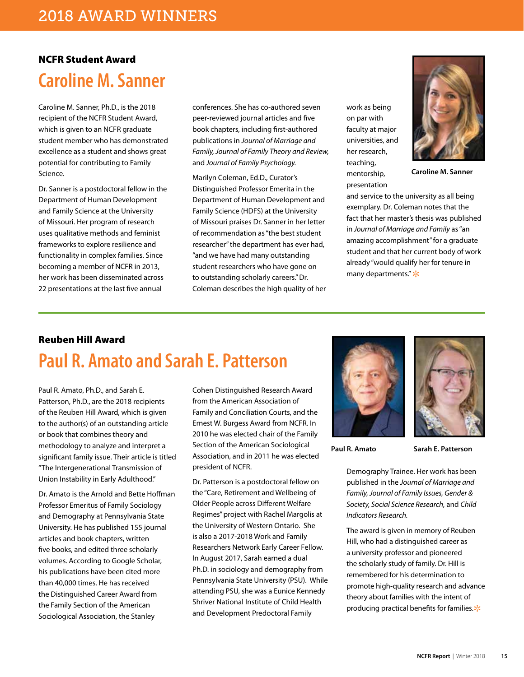### NCFR Student Award **Caroline M. Sanner**

Caroline M. Sanner, Ph.D., is the 2018 recipient of the NCFR Student Award, which is given to an NCFR graduate student member who has demonstrated excellence as a student and shows great potential for contributing to Family Science.

Dr. Sanner is a postdoctoral fellow in the Department of Human Development and Family Science at the University of Missouri. Her program of research uses qualitative methods and feminist frameworks to explore resilience and functionality in complex families. Since becoming a member of NCFR in 2013, her work has been disseminated across 22 presentations at the last five annual

conferences. She has co-authored seven peer-reviewed journal articles and five book chapters, including first-authored publications in *Journal of Marriage and Family, Journal of Family Theory and Review,*  and *Journal of Family Psychology.*

Marilyn Coleman, Ed.D., Curator's Distinguished Professor Emerita in the Department of Human Development and Family Science (HDFS) at the University of Missouri praises Dr. Sanner in her letter of recommendation as "the best student researcher" the department has ever had, "and we have had many outstanding student researchers who have gone on to outstanding scholarly careers." Dr. Coleman describes the high quality of her

work as being on par with faculty at major universities, and her research, teaching, mentorship, presentation



**Caroline M. Sanner**

and service to the university as all being exemplary. Dr. Coleman notes that the fact that her master's thesis was published in *Journal of Marriage and Family* as "an amazing accomplishment" for a graduate student and that her current body of work already "would qualify her for tenure in many departments."  $\frac{1}{2}$ 

## Reuben Hill Award **Paul R. Amato and Sarah E. Patterson**

Paul R. Amato, Ph.D., and Sarah E. Patterson, Ph.D., are the 2018 recipients of the Reuben Hill Award, which is given to the author(s) of an outstanding article or book that combines theory and methodology to analyze and interpret a significant family issue. Their article is titled "The Intergenerational Transmission of Union Instability in Early Adulthood."

Dr. Amato is the Arnold and Bette Hoffman Professor Emeritus of Family Sociology and Demography at Pennsylvania State University. He has published 155 journal articles and book chapters, written five books, and edited three scholarly volumes. According to Google Scholar, his publications have been cited more than 40,000 times. He has received the Distinguished Career Award from the Family Section of the American Sociological Association, the Stanley

Cohen Distinguished Research Award from the American Association of Family and Conciliation Courts, and the Ernest W. Burgess Award from NCFR. In 2010 he was elected chair of the Family Section of the American Sociological Association, and in 2011 he was elected president of NCFR.

Dr. Patterson is a postdoctoral fellow on the "Care, Retirement and Wellbeing of Older People across Different Welfare Regimes" project with Rachel Margolis at the University of Western Ontario. She is also a 2017-2018 Work and Family Researchers Network Early Career Fellow. In August 2017, Sarah earned a dual Ph.D. in sociology and demography from Pennsylvania State University (PSU). While attending PSU, she was a Eunice Kennedy Shriver National Institute of Child Health and Development Predoctoral Family





**Paul R. Amato Sarah E. Patterson**

Demography Trainee. Her work has been published in the *Journal of Marriage and Family, Journal of Family Issues, Gender & Society, Social Science Research,* and *Child Indicators Research.*

The award is given in memory of Reuben Hill, who had a distinguished career as a university professor and pioneered the scholarly study of family. Dr. Hill is remembered for his determination to promote high-quality research and advance theory about families with the intent of producing practical benefits for families. $*$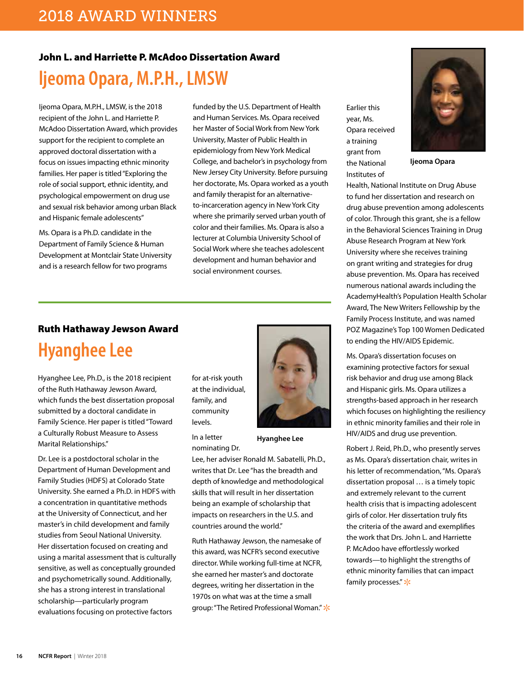### John L. and Harriette P. McAdoo Dissertation Award

## **ljeoma Opara, M.P.H., LMSW**

Ijeoma Opara, M.P.H., LMSW, is the 2018 recipient of the John L. and Harriette P. McAdoo Dissertation Award, which provides support for the recipient to complete an approved doctoral dissertation with a focus on issues impacting ethnic minority families. Her paper is titled "Exploring the role of social support, ethnic identity, and psychological empowerment on drug use and sexual risk behavior among urban Black and Hispanic female adolescents"

Ms. Opara is a Ph.D. candidate in the Department of Family Science & Human Development at Montclair State University and is a research fellow for two programs

funded by the U.S. Department of Health and Human Services. Ms. Opara received her Master of Social Work from New York University, Master of Public Health in epidemiology from New York Medical College, and bachelor's in psychology from New Jersey City University. Before pursuing her doctorate, Ms. Opara worked as a youth and family therapist for an alternativeto-incarceration agency in New York City where she primarily served urban youth of color and their families. Ms. Opara is also a lecturer at Columbia University School of Social Work where she teaches adolescent development and human behavior and social environment courses.

### Ruth Hathaway Jewson Award

## **Hyanghee Lee**

Hyanghee Lee, Ph.D., is the 2018 recipient of the Ruth Hathaway Jewson Award, which funds the best dissertation proposal submitted by a doctoral candidate in Family Science. Her paper is titled "Toward a Culturally Robust Measure to Assess Marital Relationships."

Dr. Lee is a postdoctoral scholar in the Department of Human Development and Family Studies (HDFS) at Colorado State University. She earned a Ph.D. in HDFS with a concentration in quantitative methods at the University of Connecticut, and her master's in child development and family studies from Seoul National University. Her dissertation focused on creating and using a marital assessment that is culturally sensitive, as well as conceptually grounded and psychometrically sound. Additionally, she has a strong interest in translational scholarship—particularly program evaluations focusing on protective factors

for at-risk youth at the individual, family, and community levels.

In a letter nominating Dr.



**Hyanghee Lee**

Lee, her adviser Ronald M. Sabatelli, Ph.D., writes that Dr. Lee "has the breadth and depth of knowledge and methodological skills that will result in her dissertation being an example of scholarship that impacts on researchers in the U.S. and countries around the world."

Ruth Hathaway Jewson, the namesake of this award, was NCFR's second executive director. While working full-time at NCFR, she earned her master's and doctorate degrees, writing her dissertation in the 1970s on what was at the time a small group: "The Retired Professional Woman." \*

Earlier this year, Ms. Opara received a training grant from the National Institutes of



**Ijeoma Opara**

Health, National Institute on Drug Abuse to fund her dissertation and research on drug abuse prevention among adolescents of color. Through this grant, she is a fellow in the Behavioral Sciences Training in Drug Abuse Research Program at New York University where she receives training on grant writing and strategies for drug abuse prevention. Ms. Opara has received numerous national awards including the AcademyHealth's Population Health Scholar Award, The New Writers Fellowship by the Family Process Institute, and was named POZ Magazine's Top 100 Women Dedicated to ending the HIV/AIDS Epidemic.

Ms. Opara's dissertation focuses on examining protective factors for sexual risk behavior and drug use among Black and Hispanic girls. Ms. Opara utilizes a strengths-based approach in her research which focuses on highlighting the resiliency in ethnic minority families and their role in HIV/AIDS and drug use prevention.

Robert J. Reid, Ph.D., who presently serves as Ms. Opara's dissertation chair, writes in his letter of recommendation, "Ms. Opara's dissertation proposal … is a timely topic and extremely relevant to the current health crisis that is impacting adolescent girls of color. Her dissertation truly fits the criteria of the award and exemplifies the work that Drs. John L. and Harriette P. McAdoo have effortlessly worked towards—to highlight the strengths of ethnic minority families that can impact family processes."  $*$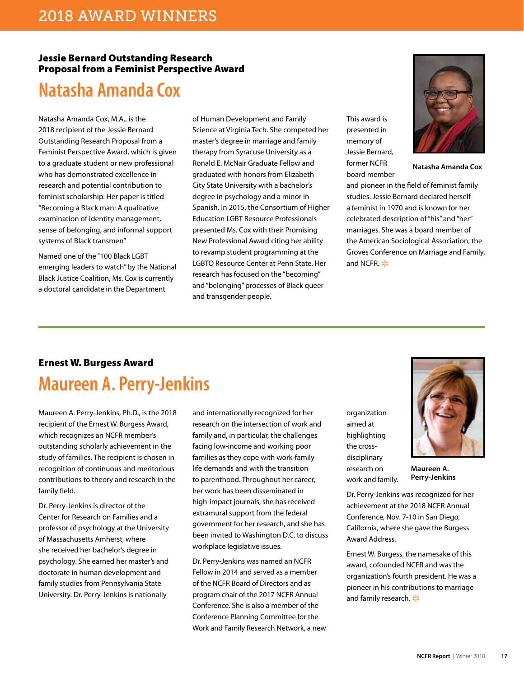### Jessie Bernard Outstanding Research Proposal from a Feminist Perspective Award

## **Natasha Amanda Cox**

Natasha Amanda Cox, M.A., is the 2018 recipient of the Jessie Bernard Outstanding Research Proposal from a Feminist Perspective Award, which is given to a graduate student or new professional who has demonstrated excellence in research and potential contribution to feminist scholarship. Her paper is titled "Becoming a Black man: A qualitative examination of identity management, sense of belonging, and informal support systems of Black transmen"

Named one of the "100 Black LGBT emerging leaders to watch" by the National Black Justice Coalition, Ms. Cox is currently a doctoral candidate in the Department

of Human Development and Family Science at Virginia Tech. She competed her master's degree in marriage and family therapy from Syracuse University as a Ronald E. McNair Graduate Fellow and graduated with honors from Elizabeth City State University with a bachelor's degree in psychology and a minor in Spanish. In 2015, the Consortium of Higher Education LGBT Resource Professionals presented Ms. Cox with their Promising New Professional Award citing her ability to revamp student programming at the LGBTQ Resource Center at Penn State. Her research has focused on the "becoming" and "belonging" processes of Black queer and transgender people.

This award is presented in memory of Jessie Bernard, former NCFR board member



**Natasha Amanda Cox**

and pioneer in the field of feminist family studies. Jessie Bernard declared herself a feminist in 1970 and is known for her celebrated description of "his" and "her" marriages. She was a board member of the American Sociological Association, the Groves Conference on Marriage and Family, and NCFR.  $*$ 

## Ernest W. Burgess Award **Maureen A. Perry-Jenkins**

Maureen A. Perry-Jenkins, Ph.D., is the 2018 recipient of the Ernest W. Burgess Award, which recognizes an NCFR member's outstanding scholarly achievement in the study of families. The recipient is chosen in recognition of continuous and meritorious contributions to theory and research in the family field.

Dr. Perry-Jenkins is director of the Center for Research on Families and a professor of psychology at the University of Massachusetts Amherst, where she received her bachelor's degree in psychology. She earned her master's and doctorate in human development and family studies from Pennsylvania State University. Dr. Perry-Jenkins is nationally

and internationally recognized for her research on the intersection of work and family and, in particular, the challenges facing low-income and working poor families as they cope with work-family life demands and with the transition to parenthood. Throughout her career, her work has been disseminated in high-impact journals, she has received extramural support from the federal government for her research, and she has been invited to Washington D.C. to discuss workplace legislative issues.

Dr. Perry-Jenkins was named an NCFR Fellow in 2014 and served as a member of the NCFR Board of Directors and as program chair of the 2017 NCFR Annual Conference. She is also a member of the Conference Planning Committee for the Work and Family Research Network, a new

organization aimed at highlighting the crossdisciplinary research on work and family.

**Maureen A. Perry-Jenkins**

Dr. Perry-Jenkins was recognized for her achievement at the 2018 NCFR Annual Conference, Nov. 7-10 in San Diego, California, where she gave the Burgess Award Address.

Ernest W. Burgess, the namesake of this award, cofounded NCFR and was the organization's fourth president. He was a pioneer in his contributions to marriage and family research.  $*$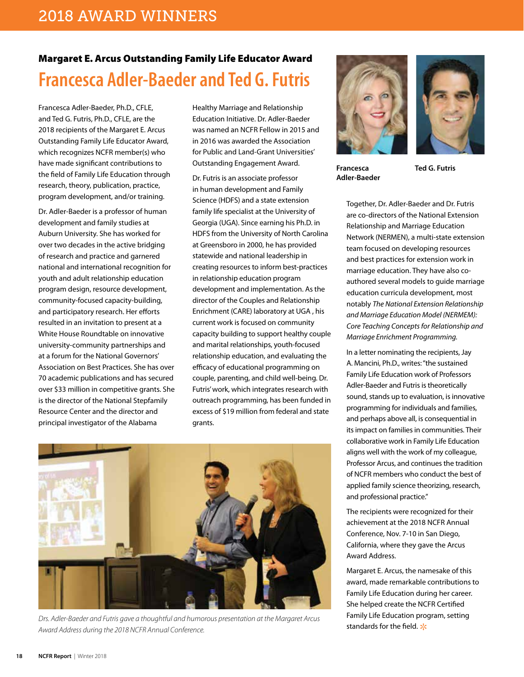## Margaret E. Arcus Outstanding Family Life Educator Award **Francesca Adler-Baeder and Ted G. Futris**

Francesca Adler-Baeder, Ph.D., CFLE, and Ted G. Futris, Ph.D., CFLE, are the 2018 recipients of the Margaret E. Arcus Outstanding Family Life Educator Award, which recognizes NCFR member(s) who have made significant contributions to the field of Family Life Education through research, theory, publication, practice, program development, and/or training.

Dr. Adler-Baeder is a professor of human development and family studies at Auburn University. She has worked for over two decades in the active bridging of research and practice and garnered national and international recognition for youth and adult relationship education program design, resource development, community-focused capacity-building, and participatory research. Her efforts resulted in an invitation to present at a White House Roundtable on innovative university-community partnerships and at a forum for the National Governors' Association on Best Practices. She has over 70 academic publications and has secured over \$33 million in competitive grants. She is the director of the National Stepfamily Resource Center and the director and principal investigator of the Alabama

Healthy Marriage and Relationship Education Initiative. Dr. Adler-Baeder was named an NCFR Fellow in 2015 and in 2016 was awarded the Association for Public and Land-Grant Universities' Outstanding Engagement Award.

Dr. Futris is an associate professor in human development and Family Science (HDFS) and a state extension family life specialist at the University of Georgia (UGA). Since earning his Ph.D. in HDFS from the University of North Carolina at Greensboro in 2000, he has provided statewide and national leadership in creating resources to inform best-practices in relationship education program development and implementation. As the director of the Couples and Relationship Enrichment (CARE) laboratory at UGA , his current work is focused on community capacity building to support healthy couple and marital relationships, youth-focused relationship education, and evaluating the efficacy of educational programming on couple, parenting, and child well-being. Dr. Futris' work, which integrates research with outreach programming, has been funded in excess of \$19 million from federal and state grants.



*Drs. Adler-Baeder and Futris gave a thoughtful and humorous presentation at the Margaret Arcus Award Address during the 2018 NCFR Annual Conference.* 





**Francesca Adler-Baeder** **Ted G. Futris**

Together, Dr. Adler-Baeder and Dr. Futris are co-directors of the National Extension Relationship and Marriage Education Network (NERMEN), a multi-state extension team focused on developing resources and best practices for extension work in marriage education. They have also coauthored several models to guide marriage education curricula development, most notably *The National Extension Relationship and Marriage Education Model (NERMEM): Core Teaching Concepts for Relationship and Marriage Enrichment Programming.*

In a letter nominating the recipients, Jay A. Mancini, Ph.D., writes: "the sustained Family Life Education work of Professors Adler-Baeder and Futris is theoretically sound, stands up to evaluation, is innovative programming for individuals and families, and perhaps above all, is consequential in its impact on families in communities. Their collaborative work in Family Life Education aligns well with the work of my colleague, Professor Arcus, and continues the tradition of NCFR members who conduct the best of applied family science theorizing, research, and professional practice."

The recipients were recognized for their achievement at the 2018 NCFR Annual Conference, Nov. 7-10 in San Diego, California, where they gave the Arcus Award Address.

Margaret E. Arcus, the namesake of this award, made remarkable contributions to Family Life Education during her career. She helped create the NCFR Certified Family Life Education program, setting standards for the field.  $\frac{1}{2}$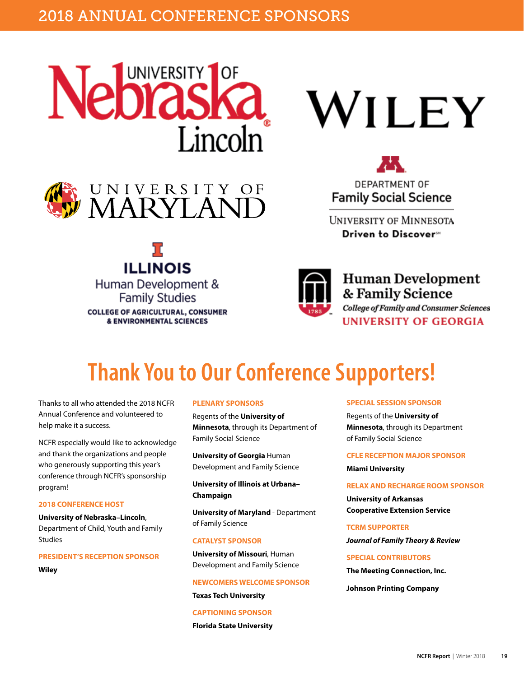





**ILLINOIS** 

Human Development &

**Family Studies** 

**COLLEGE OF AGRICULTURAL, CONSUMER & ENVIRONMENTAL SCIENCES** 





**DEPARTMENT OF Family Social Science** 

**UNIVERSITY OF MINNESOTA** Driven to Discover<sup>™</sup>



**Human Development** & Family Science **College of Family and Consumer Sciences UNIVERSITY OF GEORGIA** 

# **Thank You to Our Conference Supporters!**

Thanks to all who attended the 2018 NCFR Annual Conference and volunteered to help make it a success.

NCFR especially would like to acknowledge and thank the organizations and people who generously supporting this year's conference through NCFR's sponsorship program!

### **2018 CONFERENCE HOST**

**University of Nebraska–Lincoln**, Department of Child, Youth and Family Studies

**PRESIDENT'S RECEPTION SPONSOR**

**Wiley**

### **PLENARY SPONSORS**

Regents of the **University of Minnesota**, through its Department of Family Social Science

**University of Georgia** Human Development and Family Science

**University of Illinois at Urbana– Champaign**

**University of Maryland** - Department of Family Science

#### **CATALYST SPONSOR**

**University of Missouri**, Human Development and Family Science

#### **NEWCOMERS WELCOME SPONSOR**

**Texas Tech University**

**CAPTIONING SPONSOR Florida State University** **SPECIAL SESSION SPONSOR**

Regents of the **University of Minnesota**, through its Department of Family Social Science

### **CFLE RECEPTION MAJOR SPONSOR**

**Miami University**

#### **RELAX AND RECHARGE ROOM SPONSOR**

**University of Arkansas Cooperative Extension Service**

**TCRM SUPPORTER** *Journal of Family Theory & Review*

**SPECIAL CONTRIBUTORS**

**The Meeting Connection, Inc.**

**Johnson Printing Company**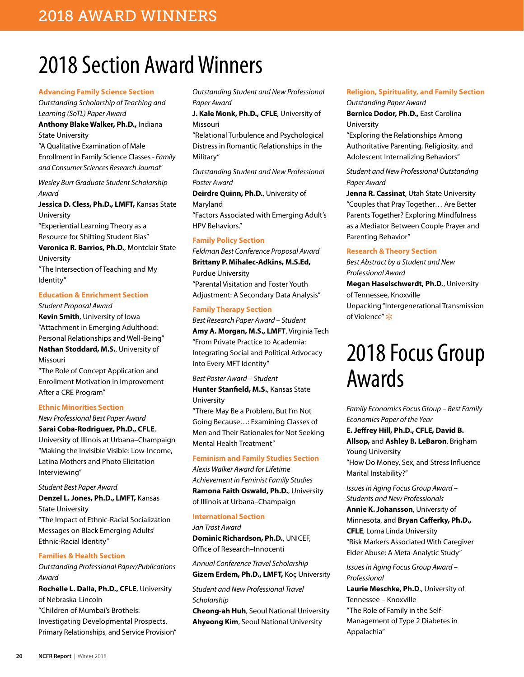# 2018 Section Award Winners

#### **Advancing Family Science Section**

*Outstanding Scholarship of Teaching and Learning (SoTL) Paper Award*

**Anthony Blake Walker, Ph.D.,** Indiana State University

"A Qualitative Examination of Male Enrollment in Family Science Classes - *Family and Consumer Sciences Research Journal*"

*Wesley Burr Graduate Student Scholarship Award*

**Jessica D. Cless, Ph.D., LMFT,** Kansas State University

"Experiential Learning Theory as a Resource for Shifting Student Bias"

**Veronica R. Barrios, Ph.D.**, Montclair State University

"The Intersection of Teaching and My Identity"

### **Education & Enrichment Section**

*Student Proposal Award*

**Kevin Smith**, University of Iowa "Attachment in Emerging Adulthood: Personal Relationships and Well-Being" **Nathan Stoddard, M.S.**, University of Missouri

"The Role of Concept Application and Enrollment Motivation in Improvement After a CRE Program"

### **Ethnic Minorities Section**

*New Professional Best Paper Award* **Sarai Coba-Rodriguez, Ph.D., CFLE**, University of Illinois at Urbana–Champaign "Making the Invisible Visible: Low-Income, Latina Mothers and Photo Elicitation Interviewing"

*Student Best Paper Award*

**Denzel L. Jones, Ph.D., LMFT,** Kansas State University "The Impact of Ethnic-Racial Socialization Messages on Black Emerging Adults' Ethnic-Racial Identity"

### **Families & Health Section**

*Outstanding Professional Paper/Publications Award*

**Rochelle L. Dalla, Ph.D., CFLE**, University of Nebraska-Lincoln "Children of Mumbai's Brothels: Investigating Developmental Prospects, Primary Relationships, and Service Provision" *Outstanding Student and New Professional Paper Award*

**J. Kale Monk, Ph.D., CFLE**, University of Missouri

"Relational Turbulence and Psychological Distress in Romantic Relationships in the Military"

*Outstanding Student and New Professional Poster Award*

**Deirdre Quinn, Ph.D.**, University of Maryland "Factors Associated with Emerging Adult's HPV Behaviors."

### **Family Policy Section**

*Feldman Best Conference Proposal Award* **Brittany P. Mihalec-Adkins, M.S.Ed,** Purdue University "Parental Visitation and Foster Youth Adjustment: A Secondary Data Analysis"

### **Family Therapy Section**

*Best Research Paper Award – Student* **Amy A. Morgan, M.S., LMFT**, Virginia Tech "From Private Practice to Academia: Integrating Social and Political Advocacy Into Every MFT Identity"

*Best Poster Award – Student* **Hunter Stanfield, M.S.**, Kansas State University

"There May Be a Problem, But I'm Not Going Because…: Examining Classes of Men and Their Rationales for Not Seeking Mental Health Treatment"

#### **Feminism and Family Studies Section**

*Alexis Walker Award for Lifetime Achievement in Feminist Family Studies* **Ramona Faith Oswald, Ph.D.**, University of Illinois at Urbana–Champaign

### **International Section**

*Jan Trost Award* **Dominic Richardson, Ph.D.**, UNICEF, Office of Research–Innocenti

*Annual Conference Travel Scholarship* **Gizem Erdem, Ph.D., LMFT,** Koç University

*Student and New Professional Travel Scholarship*

**Cheong-ah Huh**, Seoul National University **Ahyeong Kim**, Seoul National University

### **Religion, Spirituality, and Family Section**

*Outstanding Paper Award* **Bernice Dodor, Ph.D.,** East Carolina

University

"Exploring the Relationships Among Authoritative Parenting, Religiosity, and Adolescent Internalizing Behaviors"

*Student and New Professional Outstanding Paper Award*

**Jenna R. Cassinat**, Utah State University "Couples that Pray Together… Are Better Parents Together? Exploring Mindfulness as a Mediator Between Couple Prayer and Parenting Behavior"

### **Research & Theory Section**

*Best Abstract by a Student and New Professional Award* **Megan Haselschwerdt, Ph.D.**, University of Tennessee, Knoxville Unpacking "Intergenerational Transmission of Violence" \*

# 2018 Focus Group Awards

*Family Economics Focus Group – Best Family Economics Paper of the Year*

**E. Jeffrey Hill, Ph.D., CFLE, David B.** 

**Allsop,** and **Ashley B. LeBaron**, Brigham Young University "How Do Money, Sex, and Stress Influence Marital Instability?"

*Issues in Aging Focus Group Award – Students and New Professionals*  **Annie K. Johansson**, University of Minnesota, and **Bryan Cafferky, Ph.D., CFLE**, Loma Linda University "Risk Markers Associated With Caregiver Elder Abuse: A Meta-Analytic Study"

*Issues in Aging Focus Group Award – Professional*

**Laurie Meschke, Ph.D**., University of Tennessee – Knoxville "The Role of Family in the Self-Management of Type 2 Diabetes in Appalachia"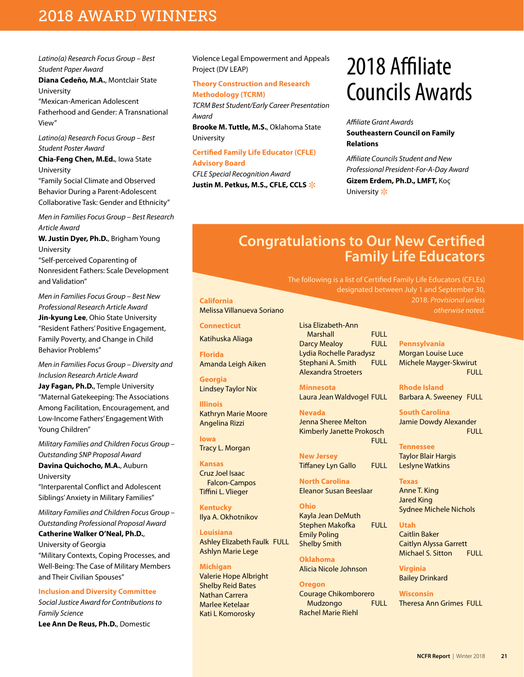### 2018 AWARD WINNERS

*Latino(a) Research Focus Group – Best Student Paper Award*

**Diana Cedeño, M.A.**, Montclair State University

"Mexican-American Adolescent Fatherhood and Gender: A Transnational View"

*Latino(a) Research Focus Group – Best Student Poster Award*

**Chia-Feng Chen, M.Ed.**, Iowa State University

"Family Social Climate and Observed Behavior During a Parent-Adolescent Collaborative Task: Gender and Ethnicity"

*Men in Families Focus Group – Best Research Article Award* 

**W. Justin Dyer, Ph.D.**, Brigham Young University

"Self‐perceived Coparenting of Nonresident Fathers: Scale Development and Validation"

*Men in Families Focus Group – Best New Professional Research Article Award* **Jin-kyung Lee**, Ohio State University "Resident Fathers' Positive Engagement, Family Poverty, and Change in Child Behavior Problems"

*Men in Families Focus Group – Diversity and Inclusion Research Article Award*

**Jay Fagan, Ph.D.**, Temple University "Maternal Gatekeeping: The Associations Among Facilitation, Encouragement, and Low-Income Fathers' Engagement With Young Children"

*Military Families and Children Focus Group – Outstanding SNP Proposal Award*

**Davina Quichocho, M.A.**, Auburn University

"Interparental Conflict and Adolescent Siblings' Anxiety in Military Families"

*Military Families and Children Focus Group – Outstanding Professional Proposal Award*

**Catherine Walker O'Neal, Ph.D.**, University of Georgia "Military Contexts, Coping Processes, and Well-Being: The Case of Military Members and Their Civilian Spouses"

#### **Inclusion and Diversity Committee**

*Social Justice Award for Contributions to Family Science* **Lee Ann De Reus, Ph.D.**, Domestic

Violence Legal Empowerment and Appeals Project (DV LEAP)

### **Theory Construction and Research Methodology (TCRM)**

*TCRM Best Student/Early Career Presentation Award*

**Brooke M. Tuttle, M.S.**, Oklahoma State University

### **Certified Family Life Educator (CFLE) Advisory Board**

*CFLE Special Recognition Award* Justin M. Petkus, M.S., CFLE, CCLS  $*$ 

# 2018 Affiliate Councils Awards

### *Affiliate Grant Awards* **Southeastern Council on Family Relations**

*Affiliate Councils Student and New Professional President-For-A-Day Award* **Gizem Erdem, Ph.D., LMFT,** Koç University  $*$ 

designated between July 1 and September 30,

### **Congratulations to Our New Certified Family Life Educators**

The following is a list of Certified Family Life Educators (CFLEs)

**California** Melissa Villanueva Soriano

**Connecticut**

Katihuska Aliaga

**Florida** Amanda Leigh Aiken

**Georgia** Lindsey Taylor Nix

**Illinois** Kathryn Marie Moore Angelina Rizzi

**Iowa** Tracy L. Morgan

**Kansas** Cruz Joel Isaac Falcon-Campos Tiffini L. Vlieger

**Kentucky** Ilya A. Okhotnikov

**Louisiana**  Ashley Elizabeth Faulk FULL Ashlyn Marie Lege

**Michigan** Valerie Hope Albright Shelby Reid Bates Nathan Carrera Marlee Ketelaar Kati L Komorosky

Lisa Elizabeth-Ann Marshall FULL Darcy Mealoy FULL Lydia Rochelle Paradysz Stephani A. Smith FULL Alexandra Stroeters

**Minnesota** Laura Jean Waldvogel FULL

**Nevada** Jenna Sheree Melton Kimberly Janette Prokosch **FULL** 

**New Jersey** Tiffaney Lyn Gallo FULL

**North Carolina** Eleanor Susan Beeslaar

**Ohio** Kayla Jean DeMuth Stephen Makofka FULL Emily Poling Shelby Smith

**Oklahoma** Alicia Nicole Johnson

**Oregon** Courage Chikomborero Mudzongo FULL Rachel Marie Riehl

**Pennsylvania** Morgan Louise Luce Michele Mayger-Skwirut **FULL** 

2018. *Provisional unless otherwise noted.*

**Rhode Island** Barbara A. Sweeney FULL

**South Carolina** Jamie Dowdy Alexander **FULL** 

**Tennessee** Taylor Blair Hargis Leslyne Watkins

**Texas** Anne T. King Jared King Sydnee Michele Nichols

### **Utah**

Caitlin Baker Caitlyn Alyssa Garrett Michael S. Sitton FULL

**Virginia** Bailey Drinkard

**Wisconsin** Theresa Ann Grimes FULL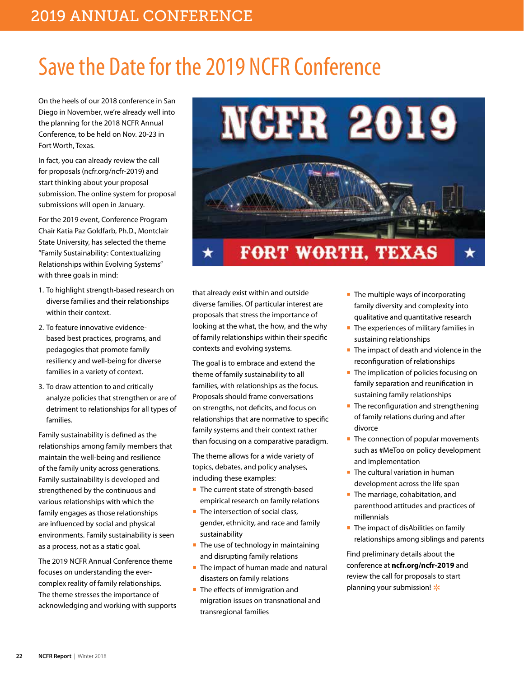# Save the Date for the 2019 NCFR Conference

On the heels of our 2018 conference in San Diego in November, we're already well into the planning for the 2018 NCFR Annual Conference, to be held on Nov. 20-23 in Fort Worth, Texas.

In fact, you can already review the call for proposals (ncfr.org/ncfr-2019) and start thinking about your proposal submission. The online system for proposal submissions will open in January.

For the 2019 event, Conference Program Chair Katia Paz Goldfarb, Ph.D., Montclair State University, has selected the theme "Family Sustainability: Contextualizing Relationships within Evolving Systems" with three goals in mind:

- 1. To highlight strength-based research on diverse families and their relationships within their context.
- 2. To feature innovative evidencebased best practices, programs, and pedagogies that promote family resiliency and well-being for diverse families in a variety of context.
- 3. To draw attention to and critically analyze policies that strengthen or are of detriment to relationships for all types of families.

Family sustainability is defined as the relationships among family members that maintain the well-being and resilience of the family unity across generations. Family sustainability is developed and strengthened by the continuous and various relationships with which the family engages as those relationships are influenced by social and physical environments. Family sustainability is seen as a process, not as a static goal.

The 2019 NCFR Annual Conference theme focuses on understanding the evercomplex reality of family relationships. The theme stresses the importance of acknowledging and working with supports



that already exist within and outside diverse families. Of particular interest are proposals that stress the importance of looking at the what, the how, and the why of family relationships within their specific contexts and evolving systems.

The goal is to embrace and extend the theme of family sustainability to all families, with relationships as the focus. Proposals should frame conversations on strengths, not deficits, and focus on relationships that are normative to specific family systems and their context rather than focusing on a comparative paradigm.

The theme allows for a wide variety of topics, debates, and policy analyses, including these examples:

- The current state of strength-based empirical research on family relations
- The intersection of social class, gender, ethnicity, and race and family sustainability
- The use of technology in maintaining and disrupting family relations
- The impact of human made and natural disasters on family relations
- The effects of immigration and migration issues on transnational and transregional families
- The multiple ways of incorporating family diversity and complexity into qualitative and quantitative research
- The experiences of military families in sustaining relationships
- The impact of death and violence in the reconfiguration of relationships
- The implication of policies focusing on family separation and reunification in sustaining family relationships
- The reconfiguration and strengthening of family relations during and after divorce
- The connection of popular movements such as #MeToo on policy development and implementation
- The cultural variation in human development across the life span
- The marriage, cohabitation, and parenthood attitudes and practices of millennials
- The impact of disAbilities on family relationships among siblings and parents

Find preliminary details about the conference at **ncfr.org/ncfr-2019** and review the call for proposals to start planning your submission!  $*$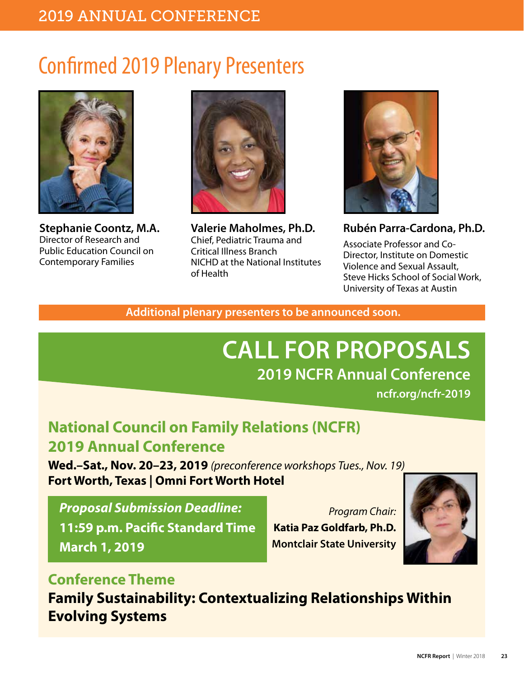# Confirmed 2019 Plenary Presenters



**Stephanie Coontz, M.A.** Director of Research and Public Education Council on Contemporary Families



**Valerie Maholmes, Ph.D.** Chief, Pediatric Trauma and Critical Illness Branch NICHD at the National Institutes of Health



**Rubén Parra-Cardona, Ph.D.**

Associate Professor and Co-Director, Institute on Domestic Violence and Sexual Assault, Steve Hicks School of Social Work, University of Texas at Austin

**Additional plenary presenters to be announced soon.** 

# **CALL FOR PROPOSALS 2019 NCFR Annual Conference**

**ncfr.org/ncfr-2019**

## **National Council on Family Relations (NCFR) 2019 Annual Conference**

**Wed.–Sat., Nov. 20–23, 2019** *(preconference workshops Tues., Nov. 19)* **Fort Worth, Texas | Omni Fort Worth Hotel**

## *Proposal Submission Deadline:* **11:59 p.m. Pacific Standard Time March 1, 2019**

*Program Chair:* **Katia Paz Goldfarb, Ph.D. Montclair State University**



## **Conference Theme**

**Family Sustainability: Contextualizing Relationships Within Evolving Systems**